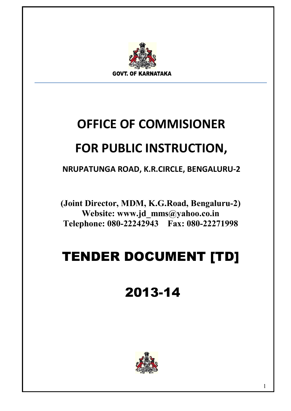

# **OFFICE OF COMMISIONER**

## **FOR PUBLIC INSTRUCTION,**

**NRUPATUNGA ROAD, K.R.CIRCLE, BENGALURU-2** 

**(Joint Director, MDM, K.G.Road, Bengaluru-2) Website: www.jd\_mms@yahoo.co.in Telephone: 080-22242943 Fax: 080-22271998** 

# TENDER DOCUMENT [TD]

# 2013-14

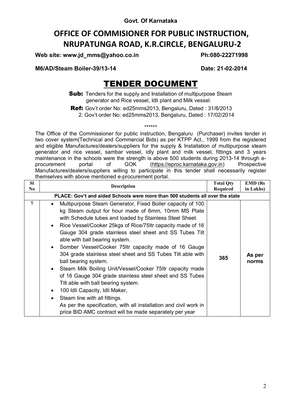## **OFFICE OF COMMISIONER FOR PUBLIC INSTRUCTION, NRUPATUNGA ROAD, K.R.CIRCLE, BENGALURU-2**

**Web site: www.jd\_mms@yahoo.co.in Ph:080-22271998** 

**M6/AD/Steam Boiler-39/13-14 Date: 21-02-2014**

## TENDER DOCUMENT

**Sub:** Tenders for the supply and Installation of multipurpose Steam generator and Rice vessel, Idli plant and Milk vessel.

Ref: Gov't order No: ed25mms2013, Bengaluru, Dated : 31/8/2013

2. Gov't order No: ed25mms2013, Bengaluru, Dated : 17/02/2014

\*\*\*\*\*\* The Office of the Commissioner for public instruction, Bengaluru (Purchaser) invites tender in two cover system(Technical and Commercial Bids) as per KTPP Act., 1999 from the registered and eligible Manufactures/dealers/suppliers for the supply & Installation of multipurpose steam generator and rice vessel, sambar vessel, idly plant and milk vessel, fittings and 3 years maintenance in the schools were the strength is above 500 students during 2013-14 through eprocurement portal of GOK (https://eproc.karnataka.gov.in) Prospective Manufactures/dealers/suppliers willing to participate in this tender shall necessarily register themselves with above mentioned e-procurement portal.

| <b>SI</b><br>No | <b>Description</b>                                                                                                                                                                                                                                                                                                                                                                                                                                                                                                                                                                                                                                                                                                                                                                                                                                                                                                                       | <b>Total Qty</b><br><b>Required</b> | $EMD$ ( $Rs$<br>in Lakhs) |
|-----------------|------------------------------------------------------------------------------------------------------------------------------------------------------------------------------------------------------------------------------------------------------------------------------------------------------------------------------------------------------------------------------------------------------------------------------------------------------------------------------------------------------------------------------------------------------------------------------------------------------------------------------------------------------------------------------------------------------------------------------------------------------------------------------------------------------------------------------------------------------------------------------------------------------------------------------------------|-------------------------------------|---------------------------|
|                 | PLACE: Gov't and aided Schools were more than 500 students all over the state                                                                                                                                                                                                                                                                                                                                                                                                                                                                                                                                                                                                                                                                                                                                                                                                                                                            |                                     |                           |
| 1               | Multipurpose Steam Generator, Fixed Boiler capacity of 100<br>$\bullet$<br>kg Steam output for hour made of 6mm, 10mm MS Plate<br>with Schedule tubes and loaded by Stainless Steel Sheet.<br>Rice Vessel/Cooker 25kgs of Rice/75ltr capacity made of 16<br>$\bullet$<br>Gauge 304 grade stainless steel sheet and SS Tubes Tilt<br>able with ball bearing system.<br>Somber Vessel/Cooker 75ltr capacity made of 16 Gauge<br>$\bullet$<br>304 grade stainless steel sheet and SS Tubes Tilt able with<br>ball bearing system.<br>Steam Milk Boiling Unit/Vessel/Cooker 75ltr capacity made<br>$\bullet$<br>of 16 Gauge 304 grade stainless steel sheet and SS Tubes<br>Tilt able with ball bearing system.<br>100 Idli Capacity, Idli Maker,<br>$\bullet$<br>Steam line with all fittings.<br>$\bullet$<br>As per the specification, with all installation and civil work in<br>price BID AMC contract will be made separately per year | 365                                 | As per<br>norms           |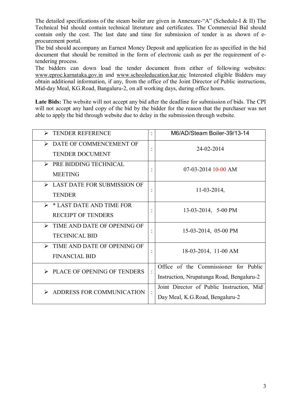The detailed specifications of the steam boiler are given in Annexure-"A" (Schedule-I & II) The Technical bid should contain technical literature and certificates. The Commercial Bid should contain only the cost. The last date and time for submission of tender is as shown of eprocurement portal.

The bid should accompany an Earnest Money Deposit and application fee as specified in the bid document that should be remitted in the form of electronic cash as per the requirement of etendering process.

The bidders can down load the tender document from either of following websites: www.eproc.karnataka.gov.in and www.schooleducation.kar.nic Interested eligible Bidders may obtain additional information, if any, from the office of the Joint Director of Public instructions, Mid-day Meal, KG.Road, Bangaluru-2, on all working days, during office hours.

**Late Bids:** The website will not accept any bid after the deadline for submission of bids. The CPI will not accept any hard copy of the bid by the bidder for the reason that the purchaser was not able to apply the bid through website due to delay in the submission through website.

| <b>TENDER REFERENCE</b><br>➤                 | $\ddot{\cdot}$       | M6/AD/Steam Boiler-39/13-14               |
|----------------------------------------------|----------------------|-------------------------------------------|
| $\triangleright$ DATE OF COMMENCEMENT OF     |                      | 24-02-2014                                |
| <b>TENDER DOCUMENT</b>                       |                      |                                           |
| $\triangleright$ PRE BIDDING TECHNICAL       |                      | $07-03-2014$ 10-00 AM                     |
| <b>MEETING</b>                               | $\ddot{\phantom{0}}$ |                                           |
| $\triangleright$ LAST DATE FOR SUBMISSION OF | $\ddot{\cdot}$       | $11-03-2014$ ,                            |
| <b>TENDER</b>                                |                      |                                           |
| $\triangleright$ * LAST DATE AND TIME FOR    |                      | 13-03-2014, 5-00 PM                       |
| <b>RECEIPT OF TENDERS</b>                    |                      |                                           |
| $\triangleright$ TIME AND DATE OF OPENING OF |                      | 15-03-2014, 05-00 PM                      |
| <b>TECHNICAL BID</b>                         |                      |                                           |
| TIME AND DATE OF OPENING OF                  |                      | 18-03-2014, 11-00 AM                      |
| <b>FINANCIAL BID</b>                         |                      |                                           |
| $\triangleright$ PLACE OF OPENING OF TENDERS | $\ddot{\cdot}$       | Office of the Commissioner for Public     |
|                                              |                      | Instruction, Nrupatunga Road, Bengaluru-2 |
| ADDRESS FOR COMMUNICATION                    | $\ddot{\cdot}$       | Joint Director of Public Instruction, Mid |
|                                              |                      | Day Meal, K.G.Road, Bengaluru-2           |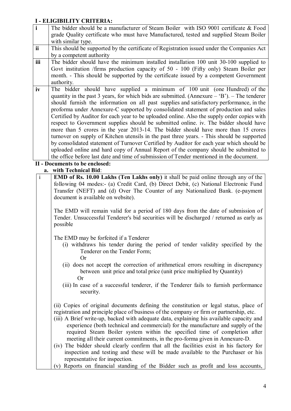## **I - ELIGIBILITY CRITERIA:**

| $\mathbf{i}$ | The bidder should be a manufacturer of Steam Boiler with ISO 9001 certificate & Food           |
|--------------|------------------------------------------------------------------------------------------------|
|              | grade Quality certificate who must have Manufactured, tested and supplied Steam Boiler         |
|              | with similar type.                                                                             |
| ii           | This should be supported by the certificate of Registration issued under the Companies Act     |
|              | by a competent authority                                                                       |
| iii          | The bidder should have the minimum installed installation 100 unit 30-100 supplied to          |
|              | Govt institution /firms production capacity of 50 - 100 (Fifty only) Steam Boiler per          |
|              | month. - This should be supported by the certificate issued by a competent Government          |
|              | authority.                                                                                     |
| iv           | The bidder should have supplied a minimum of 100 unit (one Hundred) of the                     |
|              | quantity in the past 3 years, for which bids are submitted. (Annexure – $B'$ ). – The tenderer |
|              | should furnish the information on all past supplies and satisfactory performance, in the       |
|              | proforma under Annexure-C supported by consolidated statement of production and sales          |
|              | Certified by Auditor for each year to be uploaded online. Also the supply order copies with    |
|              | respect to Government supplies should be submitted online, iv. The bidder should have          |
|              | more than 5 crores in the year 2013-14. The bidder should have more than 15 crores             |
|              | turnover on supply of Kitchen utensils in the past three years. - This should be supported     |
|              | by consolidated statement of Turnover Certified by Auditor for each year which should be       |
|              | uploaded online and hard copy of Annual Report of the company should be submitted to           |
|              | the office before last date and time of submission of Tender mentioned in the document.        |
|              | II - Documents to be enclosed:                                                                 |

**a. with Technical Bid**:

| $\mathbf{i}$ | <b>EMD of Rs. 10.00 Lakhs (Ten Lakhs only)</b> it shall be paid online through any of the<br>following 04 modes:- (a) Credit Card, (b) Direct Debit, (c) National Electronic Fund<br>Transfer (NEFT) and (d) Over The Counter of any Nationalized Bank. (e-payment<br>document is available on website).                                                                                                                                                                                                                        |
|--------------|---------------------------------------------------------------------------------------------------------------------------------------------------------------------------------------------------------------------------------------------------------------------------------------------------------------------------------------------------------------------------------------------------------------------------------------------------------------------------------------------------------------------------------|
|              | The EMD will remain valid for a period of 180 days from the date of submission of<br>Tender. Unsuccessful Tenderer's bid securities will be discharged / returned as early as<br>possible                                                                                                                                                                                                                                                                                                                                       |
|              | The EMD may be forfeited if a Tenderer<br>(i) withdraws his tender during the period of tender validity specified by the<br>Tenderer on the Tender Form;<br>Or                                                                                                                                                                                                                                                                                                                                                                  |
|              | (ii) does not accept the correction of arithmetical errors resulting in discrepancy<br>between unit price and total price (unit price multiplied by Quantity)<br>Or<br>(iii) In case of a successful tenderer, if the Tenderer fails to furnish performance                                                                                                                                                                                                                                                                     |
|              | security.                                                                                                                                                                                                                                                                                                                                                                                                                                                                                                                       |
|              | (ii) Copies of original documents defining the constitution or legal status, place of<br>registration and principle place of business of the company or firm or partnership, etc.<br>(iii) A Brief write-up, backed with adequate data, explaining his available capacity and<br>experience (both technical and commercial) for the manufacture and supply of the<br>required Steam Boiler system within the specified time of completion after<br>meeting all their current commitments, in the pro-forma given in Annexure-D. |
|              | (iv) The bidder should clearly confirm that all the facilities exist in his factory for<br>inspection and testing and these will be made available to the Purchaser or his<br>representative for inspection.                                                                                                                                                                                                                                                                                                                    |
|              | (v) Reports on financial standing of the Bidder such as profit and loss accounts,                                                                                                                                                                                                                                                                                                                                                                                                                                               |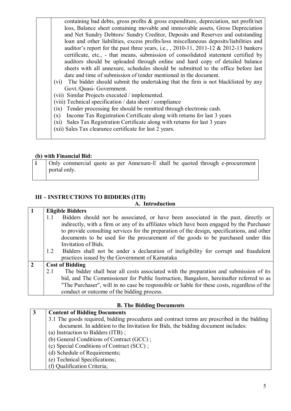| containing bad debts, gross profits & gross expenditure, depreciation, net profit/net      |
|--------------------------------------------------------------------------------------------|
| loss, Balance sheet containing movable and immovable assets, Gross Depreciation            |
| and Net Sundry Debtors/ Sundry Creditor, Deposits and Reserves and outstanding             |
| loan and other liabilities, excess profits/loss miscellaneous deposits/liabilities and     |
| auditor's report for the past three years, i.e., $\,$ , 2010-11, 2011-12 & 2012-13 bankers |
| certificate, etc., - that means, submission of consolidated statement certified by         |
| auditors should be uploaded through online and hard copy of detailed balance               |
| sheets with all annexure, schedules should be submitted to the office before last          |
| date and time of submission of tender mentioned in the document.                           |
| (vi) The bidder should submit the undertaking that the firm is not blacklisted by any      |
| Govt./Quasi- Government.                                                                   |
| (vii) Similar Projects executed / implemented.                                             |
| (viii) Technical specification / data sheet / compliance                                   |
| (ix) Tender processing fee should be remitted through electronic cash.                     |
| Income Tax Registration Certificate along with returns for last 3 years<br>(x)             |
| (xi) Sales Tax Registration Certificate along with returns for last 3 years                |
| (xii) Sales Tax clearance certificate for last 2 years.                                    |
|                                                                                            |

#### **(b) with Financial Bid:**

| Only commercial quote as per Annexure-E shall be quoted through e-procurement |
|-------------------------------------------------------------------------------|
| portal only.                                                                  |
|                                                                               |

### **III – INSTRUCTIONS TO BIDDERS (ITB)**

#### **A. Introduction**

|                |     | <b>Eligible Bidders</b>                                                                      |
|----------------|-----|----------------------------------------------------------------------------------------------|
|                | 1.1 | Bidders should not be associated, or have been associated in the past, directly or           |
|                |     | indirectly, with a firm or any of its affiliates which have been engaged by the Purchaser    |
|                |     | to provide consulting services for the preparation of the design, specifications, and other  |
|                |     | documents to be used for the procurement of the goods to be purchased under this             |
|                |     | Invitation of Bids.                                                                          |
|                | 1.2 | Bidders shall not be under a declaration of ineligibility for corrupt and fraudulent         |
|                |     | practices issued by the Government of Karnataka                                              |
| $\overline{2}$ |     | <b>Cost of Bidding</b>                                                                       |
|                | 2.1 | The bidder shall bear all costs associated with the preparation and submission of its        |
|                |     | bid, and The Commissioner for Public Instruction, Bangalore, hereinafter referred to as      |
|                |     | "The Purchaser", will in no case be responsible or liable for these costs, regardless of the |
|                |     | conduct or outcome of the bidding process.                                                   |

### **B. The Bidding Documents**

## **3 Content of Bidding Documents**

- 3.1 The goods required, bidding procedures and contract terms are prescribed in the bidding document. In addition to the Invitation for Bids, the bidding document includes:
- (a) Instruction to Bidders (ITB) ;
- (b) General Conditions of Contract (GCC) ;
- (c) Special Conditions of Contract (SCC) ;
- (d) Schedule of Requirements;
- (e) Technical Specifications;
- (f) Qualification Criteria;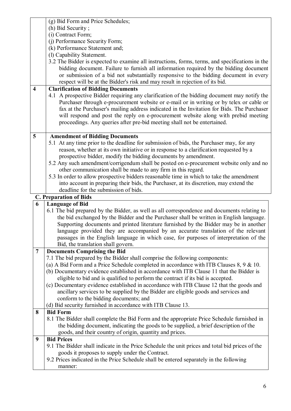|                         | (g) Bid Form and Price Schedules;                                                                                                                                          |
|-------------------------|----------------------------------------------------------------------------------------------------------------------------------------------------------------------------|
|                         | (h) Bid Security;                                                                                                                                                          |
|                         | (i) Contract Form;                                                                                                                                                         |
|                         | (j) Performance Security Form;                                                                                                                                             |
|                         | (k) Performance Statement and;                                                                                                                                             |
|                         | (l) Capability Statement.                                                                                                                                                  |
|                         | 3.2 The Bidder is expected to examine all instructions, forms, terms, and specifications in the                                                                            |
|                         | bidding document. Failure to furnish all information required by the bidding document                                                                                      |
|                         | or submission of a bid not substantially responsive to the bidding document in every                                                                                       |
|                         | respect will be at the Bidder's risk and may result in rejection of its bid.                                                                                               |
| $\overline{\mathbf{4}}$ | <b>Clarification of Bidding Documents</b>                                                                                                                                  |
|                         | 4.1 A prospective Bidder requiring any clarification of the bidding document may notify the                                                                                |
|                         | Purchaser through e-procurement website or e-mail or in writing or by telex or cable or                                                                                    |
|                         | fax at the Purchaser's mailing address indicated in the Invitation for Bids. The Purchaser                                                                                 |
|                         | will respond and post the reply on e-procurement website along with prebid meeting                                                                                         |
|                         | proceedings. Any queries after pre-bid meeting shall not be entertained.                                                                                                   |
| 5                       | <b>Amendment of Bidding Documents</b>                                                                                                                                      |
|                         | 5.1 At any time prior to the deadline for submission of bids, the Purchaser may, for any                                                                                   |
|                         | reason, whether at its own initiative or in response to a clarification requested by a                                                                                     |
|                         | prospective bidder, modify the bidding documents by amendment.                                                                                                             |
|                         | 5.2 Any such amendment/corrigendum shall be posted on e-procurement website only and no                                                                                    |
|                         | other communication shall be made to any firm in this regard.                                                                                                              |
|                         | 5.3 In order to allow prospective bidders reasonable time in which to take the amendment                                                                                   |
|                         |                                                                                                                                                                            |
|                         | into account in preparing their bids, the Purchaser, at its discretion, may extend the                                                                                     |
|                         | deadline for the submission of bids.                                                                                                                                       |
|                         | <b>C. Preparation of Bids</b>                                                                                                                                              |
| 6                       | <b>Language of Bid</b>                                                                                                                                                     |
|                         | 6.1 The bid prepared by the Bidder, as well as all correspondence and documents relating to                                                                                |
|                         | the bid exchanged by the Bidder and the Purchaser shall be written in English language.                                                                                    |
|                         | Supporting documents and printed literature furnished by the Bidder may be in another                                                                                      |
|                         | language provided they are accompanied by an accurate translation of the relevant                                                                                          |
|                         | passages in the English language in which case, for purposes of interpretation of the                                                                                      |
|                         | Bid, the translation shall govern.                                                                                                                                         |
| $\overline{7}$          | <b>Documents Comprising the Bid</b>                                                                                                                                        |
|                         | 7.1 The bid prepared by the Bidder shall comprise the following components:<br>(a) A Bid Form and a Price Schedule completed in accordance with ITB Clauses $8, 9 \& 10$ . |
|                         | (b) Documentary evidence established in accordance with ITB Clause 11 that the Bidder is                                                                                   |
|                         | eligible to bid and is qualified to perform the contract if its bid is accepted.                                                                                           |
|                         | (c) Documentary evidence established in accordance with ITB Clause 12 that the goods and                                                                                   |
|                         | ancillary services to be supplied by the Bidder are eligible goods and services and                                                                                        |
|                         | conform to the bidding documents; and                                                                                                                                      |
|                         | (d) Bid security furnished in accordance with ITB Clause 13.                                                                                                               |
| 8                       | <b>Bid Form</b>                                                                                                                                                            |
|                         | 8.1 The Bidder shall complete the Bid Form and the appropriate Price Schedule furnished in                                                                                 |
|                         | the bidding document, indicating the goods to be supplied, a brief description of the                                                                                      |
|                         | goods, and their country of origin, quantity and prices.                                                                                                                   |
| 9                       | <b>Bid Prices</b>                                                                                                                                                          |
|                         | 9.1 The Bidder shall indicate in the Price Schedule the unit prices and total bid prices of the                                                                            |
|                         | goods it proposes to supply under the Contract.<br>9.2 Prices indicated in the Price Schedule shall be entered separately in the following                                 |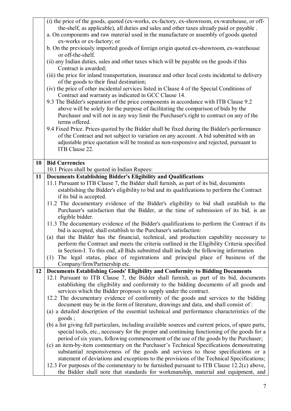|    | (i) the price of the goods, quoted (ex-works, ex-factory, ex-showroom, ex-warehouse, or off-                                                                                |
|----|-----------------------------------------------------------------------------------------------------------------------------------------------------------------------------|
|    | the-shelf, as applicable), all duties and sales and other taxes already paid or payable.                                                                                    |
|    | a. On components and raw material used in the manufacture or assembly of goods quoted                                                                                       |
|    | ex-works or ex-factory; or                                                                                                                                                  |
|    | b. On the previously imported goods of foreign origin quoted ex-showroom, ex-warehouse<br>or off-the-shelf.                                                                 |
|    | (ii) any Indian duties, sales and other taxes which will be payable on the goods if this                                                                                    |
|    | Contract is awarded;                                                                                                                                                        |
|    | (iii) the price for inland transportation, insurance and other local costs incidental to delivery                                                                           |
|    | of the goods to their final destination;                                                                                                                                    |
|    | (iv) the price of other incidental services listed in Clause 4 of the Special Conditions of                                                                                 |
|    | Contract and warranty as indicated in GCC Clause 14.                                                                                                                        |
|    | 9.2 The Bidder's separation of the price components in accordance with ITB Clause 9.2                                                                                       |
|    | above will be solely for the purpose of facilitating the comparison of bids by the                                                                                          |
|    | Purchaser and will not in any way limit the Purchaser's right to contract on any of the                                                                                     |
|    | terms offered.                                                                                                                                                              |
|    | 9.4 Fixed Price. Prices quoted by the Bidder shall be fixed during the Bidder's performance                                                                                 |
|    | of the Contract and not subject to variation on any account. A bid submitted with an                                                                                        |
|    | adjustable price quotation will be treated as non-responsive and rejected, pursuant to<br>ITB Clause 22.                                                                    |
|    |                                                                                                                                                                             |
| 10 | <b>Bid Currencies</b>                                                                                                                                                       |
|    | 10.1 Prices shall be quoted in Indian Rupees:                                                                                                                               |
| 11 | <b>Documents Establishing Bidder's Eligibility and Qualifications</b>                                                                                                       |
|    | 11.1 Pursuant to ITB Clause 7, the Bidder shall furnish, as part of its bid, documents                                                                                      |
|    | establishing the Bidder's eligibility to bid and its qualifications to perform the Contract                                                                                 |
|    | if its bid is accepted.                                                                                                                                                     |
|    | 11.2 The documentary evidence of the Bidder's eligibility to bid shall establish to the                                                                                     |
|    | Purchaser's satisfaction that the Bidder, at the time of submission of its bid, is an<br>eligible bidder.                                                                   |
|    | 11.3 The documentary evidence of the Bidder's qualifications to perform the Contract if its                                                                                 |
|    | bid is accepted, shall establish to the Purchaser's satisfaction:                                                                                                           |
|    | (a) that the Bidder has the financial, technical, and production capability necessary to                                                                                    |
|    | perform the Contract and meets the criteria outlined in the Eligibility Criteria specified                                                                                  |
|    | in Section-I. To this end, all Bids submitted shall include the following information                                                                                       |
|    | The legal status, place of registrations and principal place of business of the<br>(1)                                                                                      |
|    | Company/firm/Partnership etc.                                                                                                                                               |
| 12 | Documents Establishing Goods' Eligibility and Conformity to Bidding Documents                                                                                               |
|    | 12.1 Pursuant to ITB Clause 7, the Bidder shall furnish, as part of its bid, documents                                                                                      |
|    | establishing the eligibility and conformity to the bidding documents of all goods and                                                                                       |
|    | services which the Bidder proposes to supply under the contract.                                                                                                            |
|    | 12.2 The documentary evidence of conformity of the goods and services to the bidding<br>document may be in the form of literature, drawings and data, and shall consist of: |
|    | (a) a detailed description of the essential technical and performance characteristics of the                                                                                |
|    | goods;                                                                                                                                                                      |
|    | (b) a list giving full particulars, including available sources and current prices, of spare parts,                                                                         |
|    | special tools, etc., necessary for the proper and continuing functioning of the goods for a                                                                                 |
|    | period of six years, following commencement of the use of the goods by the Purchaser;                                                                                       |
|    | (c) an item-by-item commentary on the Purchaser's Technical Specifications demonstrating                                                                                    |
|    | substantial responsiveness of the goods and services to those specifications or a                                                                                           |
|    | statement of deviations and exceptions to the provisions of the Technical Specifications;                                                                                   |
|    | 12.3 For purposes of the commentary to be furnished pursuant to ITB Clause 12.2(c) above,                                                                                   |
|    | the Bidder shall note that standards for workmanship, material and equipment, and                                                                                           |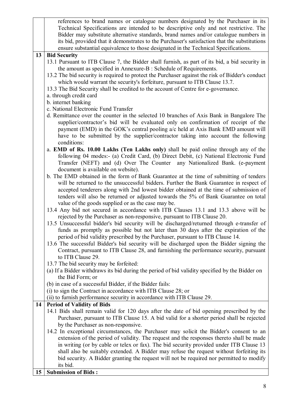|    | references to brand names or catalogue numbers designated by the Purchaser in its                                                                                          |
|----|----------------------------------------------------------------------------------------------------------------------------------------------------------------------------|
|    | Technical Specifications are intended to be descriptive only and not restrictive. The                                                                                      |
|    | Bidder may substitute alternative standards, brand names and/or catalogue numbers in                                                                                       |
|    | its bid, provided that it demonstrates to the Purchaser's satisfaction that the substitutions                                                                              |
|    | ensure substantial equivalence to those designated in the Technical Specifications.                                                                                        |
| 13 | <b>Bid Security</b>                                                                                                                                                        |
|    | 13.1 Pursuant to ITB Clause 7, the Bidder shall furnish, as part of its bid, a bid security in                                                                             |
|    | the amount as specified in Annexure-B : Schedule of Requirements.                                                                                                          |
|    | 13.2 The bid security is required to protect the Purchaser against the risk of Bidder's conduct                                                                            |
|    | which would warrant the security's forfeiture, pursuant to ITB Clause 13.7.                                                                                                |
|    | 13.3 The Bid Security shall be credited to the account of Centre for e-governance.                                                                                         |
|    | a. through credit card                                                                                                                                                     |
|    | b. internet banking                                                                                                                                                        |
|    | c. National Electronic Fund Transfer                                                                                                                                       |
|    | d. Remittance over the counter in the selected 10 branches of Axis Bank in Bangalore The                                                                                   |
|    | supplier/contractor's bid will be evaluated only on confirmation of receipt of the                                                                                         |
|    | payment (EMD) in the GOK's central pooling a/c held at Axis Bank EMD amount will                                                                                           |
|    | have to be submitted by the supplier/contractor taking into account the following                                                                                          |
|    | conditions:                                                                                                                                                                |
|    | a. EMD of Rs. 10.00 Lakhs (Ten Lakhs only) shall be paid online through any of the<br>following 04 modes:- (a) Credit Card, (b) Direct Debit, (c) National Electronic Fund |
|    |                                                                                                                                                                            |
|    | Transfer (NEFT) and (d) Over The Counter any Nationalized Bank. (e-payment<br>document is available on website).                                                           |
|    | b. The EMD obtained in the form of Bank Guarantee at the time of submitting of tenders                                                                                     |
|    | will be returned to the unsuccessful bidders. Further the Bank Guarantee in respect of                                                                                     |
|    | accepted tenderers along with 2nd lowest bidder obtained at the time of submission of                                                                                      |
|    | tenders will also be returned or adjusted towards the 5% of Bank Guarantee on total                                                                                        |
|    | value of the goods supplied or as the case may be.                                                                                                                         |
|    | 13.4 Any bid not secured in accordance with ITB Clauses 13.1 and 13.3 above will be                                                                                        |
|    | rejected by the Purchaser as non-responsive, pursuant to ITB Clause 20.                                                                                                    |
|    | 13.5 Unsuccessful bidder's bid security will be discharged/returned through e-transfer of                                                                                  |
|    | funds as promptly as possible but not later than 30 days after the expiration of the                                                                                       |
|    | period of bid validity prescribed by the Purchaser, pursuant to ITB Clause 14.                                                                                             |
|    | 13.6 The successful Bidder's bid security will be discharged upon the Bidder signing the                                                                                   |
|    | Contract, pursuant to ITB Clause 28, and furnishing the performance security, pursuant                                                                                     |
|    | to ITB Clause 29.                                                                                                                                                          |
|    | 13.7 The bid security may be forfeited:                                                                                                                                    |
|    | (a) If a Bidder withdraws its bid during the period of bid validity specified by the Bidder on                                                                             |
|    | the Bid Form; or                                                                                                                                                           |
|    | (b) in case of a successful Bidder, if the Bidder fails:                                                                                                                   |
|    | (i) to sign the Contract in accordance with ITB Clause 28; or                                                                                                              |
|    | (ii) to furnish performance security in accordance with ITB Clause 29.                                                                                                     |
| 14 | <b>Period of Validity of Bids</b>                                                                                                                                          |
|    | 14.1 Bids shall remain valid for 120 days after the date of bid opening prescribed by the                                                                                  |
|    | Purchaser, pursuant to ITB Clause 15. A bid valid for a shorter period shall be rejected                                                                                   |
|    | by the Purchaser as non-responsive.                                                                                                                                        |
|    | 14.2 In exceptional circumstances, the Purchaser may solicit the Bidder's consent to an                                                                                    |
|    | extension of the period of validity. The request and the responses thereto shall be made                                                                                   |
|    | in writing (or by cable or telex or fax). The bid security provided under ITB Clause 13                                                                                    |
|    | shall also be suitably extended. A Bidder may refuse the request without forfeiting its                                                                                    |
|    | bid security. A Bidder granting the request will not be required nor permitted to modify                                                                                   |
|    | its bid.                                                                                                                                                                   |
| 15 | <b>Submission of Bids:</b>                                                                                                                                                 |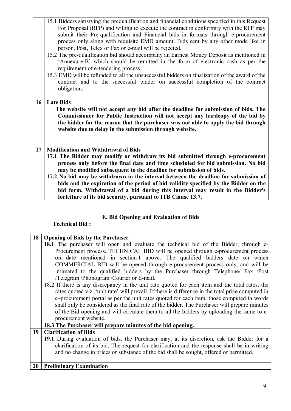|                 | 15.1 Bidders satisfying the prequalification and financial conditions specified in this Request<br>For Proposal (RFP) and willing to execute the contract in conformity with the RFP may<br>submit their Pre-qualification and Financial bids in formats through e-procurement<br>process only along with requisite EMD amount. Bids sent by any other mode like in<br>person, Post, Telex or Fax or e-mail will be rejected.<br>15.2 The pre-qualification bid should accompany an Earnest Money Deposit as mentioned in<br>'Annexure-B' which should be remitted in the form of electronic cash as per the<br>requirement of e-tendering process.<br>15.3 EMD will be refunded to all the unsuccessful bidders on finalization of the award of the<br>contract and to the successful bidder on successful completion of the contract |
|-----------------|----------------------------------------------------------------------------------------------------------------------------------------------------------------------------------------------------------------------------------------------------------------------------------------------------------------------------------------------------------------------------------------------------------------------------------------------------------------------------------------------------------------------------------------------------------------------------------------------------------------------------------------------------------------------------------------------------------------------------------------------------------------------------------------------------------------------------------------|
|                 | obligation.                                                                                                                                                                                                                                                                                                                                                                                                                                                                                                                                                                                                                                                                                                                                                                                                                            |
| 16 <sup>1</sup> | <b>Late Bids</b><br>The website will not accept any bid after the deadline for submission of bids. The<br>Commissioner for Public Instruction will not accept any hardcopy of the bid by<br>the bidder for the reason that the purchaser was not able to apply the bid through<br>website due to delay in the submission through website.                                                                                                                                                                                                                                                                                                                                                                                                                                                                                              |
|                 |                                                                                                                                                                                                                                                                                                                                                                                                                                                                                                                                                                                                                                                                                                                                                                                                                                        |
| 17              | <b>Modification and Withdrawal of Bids</b>                                                                                                                                                                                                                                                                                                                                                                                                                                                                                                                                                                                                                                                                                                                                                                                             |
|                 | 17.1 The Bidder may modify or withdraw its bid submitted through e-procurement<br>process only before the final date and time scheduled for bid submission. No bid                                                                                                                                                                                                                                                                                                                                                                                                                                                                                                                                                                                                                                                                     |
|                 | may be modified subsequent to the deadline for submission of bids.                                                                                                                                                                                                                                                                                                                                                                                                                                                                                                                                                                                                                                                                                                                                                                     |
|                 | 17.2 No bid may be withdrawn in the interval between the deadline for submission of                                                                                                                                                                                                                                                                                                                                                                                                                                                                                                                                                                                                                                                                                                                                                    |
|                 | bids and the expiration of the period of bid validity specified by the Bidder on the<br>bid form. Withdrawal of a bid during this interval may result in the Bidder's                                                                                                                                                                                                                                                                                                                                                                                                                                                                                                                                                                                                                                                                  |

## **E. Bid Opening and Evaluation of Bids**

## **Technical Bid :**

| 18 | <b>Opening of Bids by the Purchaser</b>                                                           |
|----|---------------------------------------------------------------------------------------------------|
|    | <b>18.1</b> The purchaser will open and evaluate the technical bid of the Bidder, through e-      |
|    | Procurement process. TECHNICAL BID will be opened through e-procurement process                   |
|    | on date mentioned in section-I above. The qualified bidders date on which                         |
|    | COMMERCIAL BID will be opened through e-procurement process only, and will be                     |
|    | intimated to the qualified bidders by the Purchaser through Telephone/ Fax /Post                  |
|    | /Telegram/Phonogram/Courier or E-mail.                                                            |
|    | 18.2 If there is any discrepancy in the unit rate quoted for each item and the total rates, the   |
|    | rates quoted viz, 'unit rate' will prevail. If there is difference in the total price computed in |
|    | e-procurement portal as per the unit rates quoted for each item, those computed in words          |
|    | shall only be considered as the final rate of the bidder. The Purchaser will prepare minutes      |
|    | of the Bid opening and will circulate them to all the bidders by uploading the same to e-         |
|    | procurement website.                                                                              |
|    | 18.3 The Purchaser will prepare minutes of the bid opening.                                       |
| 19 | <b>Clarification of Bids</b>                                                                      |
|    | 19.1 During evaluation of bids, the Purchaser may, at its discretion, ask the Bidder for a        |
|    | clarification of its bid. The request for clarification and the response shall be in writing      |
|    | and no change in prices or substance of the bid shall be sought, offered or permitted.            |
|    |                                                                                                   |
| 20 | <b>Preliminary Examination</b>                                                                    |

## 9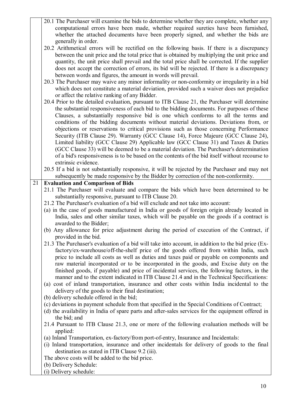20.1 The Purchaser will examine the bids to determine whether they are complete, whether any computational errors have been made, whether required sureties have been furnished, whether the attached documents have been properly signed, and whether the bids are generally in order. 20.2 Arithmetical errors will be rectified on the following basis. If there is a discrepancy between the unit price and the total price that is obtained by multiplying the unit price and quantity, the unit price shall prevail and the total price shall be corrected. If the supplier does not accept the correction of errors, its bid will be rejected. If there is a discrepancy between words and figures, the amount in words will prevail. 20.3 The Purchaser may waive any minor informality or non-conformity or irregularity in a bid which does not constitute a material deviation, provided such a waiver does not prejudice or affect the relative ranking of any Bidder. 20.4 Prior to the detailed evaluation, pursuant to ITB Clause 21, the Purchaser will determine the substantial responsiveness of each bid to the bidding documents. For purposes of these Clauses, a substantially responsive bid is one which conforms to all the terms and conditions of the bidding documents without material deviations. Deviations from, or objections or reservations to critical provisions such as those concerning Performance Security (ITB Clause 29). Warranty (GCC Clause 14), Force Majeure (GCC Clause 24), Limited liability (GCC Clause 29) Applicable law (GCC Clause 31) and Taxes & Duties (GCC Clause 33) will be deemed to be a material deviation. The Purchaser's determination of a bid's responsiveness is to be based on the contents of the bid itself without recourse to extrinsic evidence. 20.5 If a bid is not substantially responsive, it will be rejected by the Purchaser and may not subsequently be made responsive by the Bidder by correction of the non-conformity. 21 **Evaluation and Comparison of Bids**  21.1 The Purchaser will evaluate and compare the bids which have been determined to be substantially responsive, pursuant to ITB Clause 20. 21.2 The Purchaser's evaluation of a bid will exclude and not take into account: (a) in the case of goods manufactured in India or goods of foreign origin already located in India, sales and other similar taxes, which will be payable on the goods if a contract is awarded to the Bidder; (b) Any allowance for price adjustment during the period of execution of the Contract, if provided in the bid. 21.3 The Purchaser's evaluation of a bid will take into account, in addition to the bid price (Exfactory/ex-warehouse/off-the-shelf price of the goods offered from within India, such price to include all costs as well as duties and taxes paid or payable on components and raw material incorporated or to be incorporated in the goods, and Excise duty on the finished goods, if payable) and price of incidental services, the following factors, in the manner and to the extent indicated in ITB Clause 21.4 and in the Technical Specifications: (a) cost of inland transportation, insurance and other costs within India incidental to the delivery of the goods to their final destination; (b) delivery schedule offered in the bid; (c) deviations in payment schedule from that specified in the Special Conditions of Contract; (d) the availability in India of spare parts and after-sales services for the equipment offered in the bid; and 21.4 Pursuant to ITB Clause 21.3, one or more of the following evaluation methods will be applied: (a) Inland Transportation, ex-factory/from port-of-entry, Insurance and Incidentals: (i) Inland transportation, insurance and other incidentals for delivery of goods to the final destination as stated in ITB Clause 9.2 (iii). The above costs will be added to the bid price. (b) Delivery Schedule: (i) Delivery schedule: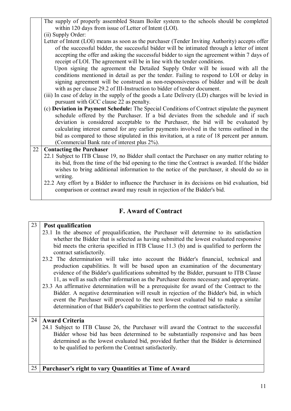- The supply of properly assembled Steam Boiler system to the schools should be completed within 120 days from issue of Letter of Intent (LOI).
- (ii) Supply Order:

Letter of Intent (LOI) means as soon as the purchaser (Tender Inviting Authority) accepts offer of the successful bidder, the successful bidder will be intimated through a letter of intent accepting the offer and asking the successful bidder to sign the agreement within 7 days of receipt of LOI. The agreement will be in line with the tender conditions.

 Upon signing the agreement the Detailed Supply Order will be issued with all the conditions mentioned in detail as per the tender. Failing to respond to LOI or delay in signing agreement will be construed as non-responsiveness of bidder and will be dealt with as per clause 29.2 of III-Instruction to bidder of tender document.

- (iii) In case of delay in the supply of the goods a Late Delivery (LD) charges will be levied in pursuant with GCC clause 22 as penalty.
- (c) **Deviation in Payment Schedule:** The Special Conditions of Contract stipulate the payment schedule offered by the Purchaser. If a bid deviates from the schedule and if such deviation is considered acceptable to the Purchaser, the bid will be evaluated by calculating interest earned for any earlier payments involved in the terms outlined in the bid as compared to those stipulated in this invitation, at a rate of 18 percent per annum. (Commercial Bank rate of interest plus 2%).

## 22 **Contacting the Purchaser**

- 22.1 Subject to ITB Clause 19, no Bidder shall contact the Purchaser on any matter relating to its bid, from the time of the bid opening to the time the Contract is awarded. If the bidder wishes to bring additional information to the notice of the purchaser, it should do so in writing.
- 22.2 Any effort by a Bidder to influence the Purchaser in its decisions on bid evaluation, bid comparison or contract award may result in rejection of the Bidder's bid.

## **F. Award of Contract**

## 23 **Post qualification**  23.1 In the absence of prequalification, the Purchaser will determine to its satisfaction whether the Bidder that is selected as having submitted the lowest evaluated responsive bid meets the criteria specified in ITB Clause 11.3 (b) and is qualified to perform the contract satisfactorily. 23.2 The determination will take into account the Bidder's financial, technical and production capabilities. It will be based upon an examination of the documentary evidence of the Bidder's qualifications submitted by the Bidder, pursuant to ITB Clause 11, as well as such other information as the Purchaser deems necessary and appropriate. 23.3 An affirmative determination will be a prerequisite for award of the Contract to the Bidder. A negative determination will result in rejection of the Bidder's bid, in which event the Purchaser will proceed to the next lowest evaluated bid to make a similar determination of that Bidder's capabilities to perform the contract satisfactorily. 24 **Award Criteria**  24.1 Subject to ITB Clause 26, the Purchaser will award the Contract to the successful Bidder whose bid has been determined to be substantially responsive and has been determined as the lowest evaluated bid, provided further that the Bidder is determined to be qualified to perform the Contract satisfactorily. 25 **Purchaser's right to vary Quantities at Time of Award**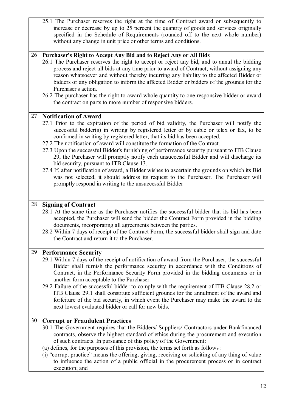|    | 25.1 The Purchaser reserves the right at the time of Contract award or subsequently to<br>increase or decrease by up to 25 percent the quantity of goods and services originally<br>specified in the Schedule of Requirements (rounded off to the next whole number)<br>without any change in unit price or other terms and conditions.                                                                                                                                                                                                                                                                                                                                                                                                                                                                                                                                       |
|----|-------------------------------------------------------------------------------------------------------------------------------------------------------------------------------------------------------------------------------------------------------------------------------------------------------------------------------------------------------------------------------------------------------------------------------------------------------------------------------------------------------------------------------------------------------------------------------------------------------------------------------------------------------------------------------------------------------------------------------------------------------------------------------------------------------------------------------------------------------------------------------|
| 26 | Purchaser's Right to Accept Any Bid and to Reject Any or All Bids<br>26.1 The Purchaser reserves the right to accept or reject any bid, and to annul the bidding<br>process and reject all bids at any time prior to award of Contract, without assigning any<br>reason whatsoever and without thereby incurring any liability to the affected Bidder or<br>bidders or any obligation to inform the affected Bidder or bidders of the grounds for the<br>Purchaser's action.<br>26.2 The purchaser has the right to award whole quantity to one responsive bidder or award<br>the contract on parts to more number of responsive bidders.                                                                                                                                                                                                                                     |
| 27 | <b>Notification of Award</b><br>27.1 Prior to the expiration of the period of bid validity, the Purchaser will notify the<br>successful bidder(s) in writing by registered letter or by cable or telex or fax, to be<br>confirmed in writing by registered letter, that its bid has been accepted.<br>27.2 The notification of award will constitute the formation of the Contract.<br>27.3 Upon the successful Bidder's furnishing of performance security pursuant to ITB Clause<br>29, the Purchaser will promptly notify each unsuccessful Bidder and will discharge its<br>bid security, pursuant to ITB Clause 13.<br>27.4 If, after notification of award, a Bidder wishes to ascertain the grounds on which its Bid<br>was not selected, it should address its request to the Purchaser. The Purchaser will<br>promptly respond in writing to the unsuccessful Bidder |
| 28 | <b>Signing of Contract</b><br>28.1 At the same time as the Purchaser notifies the successful bidder that its bid has been<br>accepted, the Purchaser will send the bidder the Contract Form provided in the bidding<br>documents, incorporating all agreements between the parties.<br>28.2 Within 7 days of receipt of the Contract Form, the successful bidder shall sign and date<br>the Contract and return it to the Purchaser.                                                                                                                                                                                                                                                                                                                                                                                                                                          |
| 29 | <b>Performance Security</b><br>29.1 Within 7 days of the receipt of notification of award from the Purchaser, the successful<br>Bidder shall furnish the performance security in accordance with the Conditions of<br>Contract, in the Performance Security Form provided in the bidding documents or in<br>another form acceptable to the Purchaser.<br>29.2 Failure of the successful bidder to comply with the requirement of ITB Clause 28.2 or<br>ITB Clause 29.1 shall constitute sufficient grounds for the annulment of the award and<br>forfeiture of the bid security, in which event the Purchaser may make the award to the<br>next lowest evaluated bidder or call for new bids.                                                                                                                                                                                 |
| 30 | <b>Corrupt or Fraudulent Practices</b><br>30.1 The Government requires that the Bidders/ Suppliers/ Contractors under Bankfinanced<br>contracts, observe the highest standard of ethics during the procurement and execution<br>of such contracts. In pursuance of this policy of the Government:<br>(a) defines, for the purposes of this provision, the terms set forth as follows :<br>(i) "corrupt practice" means the offering, giving, receiving or soliciting of any thing of value<br>to influence the action of a public official in the procurement process or in contract<br>execution; and                                                                                                                                                                                                                                                                        |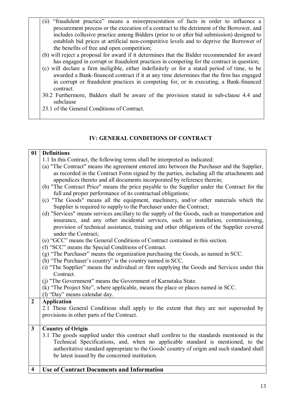- (ii) "fraudulent practice" means a misrepresentation of facts in order to influence a procurement process or the execution of a contract to the detriment of the Borrower, and includes collusive practice among Bidders (prior to or after bid submission) designed to establish bid prices at artificial non-competitive levels and to deprive the Borrower of the benefits of free and open competition;
- (b) will reject a proposal for award if it determines that the Bidder recommended for award has engaged in corrupt or fraudulent practices in competing for the contract in question;
- (c) will declare a firm ineligible, either indefinitely or for a stated period of time, to be awarded a Bank-financed contract if it at any time determines that the firm has engaged in corrupt or fraudulent practices in competing for, or in executing, a Bank-financed contract.
- 30.2 Furthermore, Bidders shall be aware of the provision stated in sub-clause 4.4 and subclause
- 23.1 of the General Conditions of Contract.

## **IV: GENERAL CONDITIONS OF CONTRACT**

## **01 Definitions**  1.1 In this Contract, the following terms shall be interpreted as indicated: (a) "The Contract" means the agreement entered into between the Purchaser and the Supplier, as recorded in the Contract Form signed by the parties, including all the attachments and appendices thereto and all documents incorporated by reference therein; (b) "The Contract Price" means the price payable to the Supplier under the Contract for the full and proper performance of its contractual obligations; (c) "The Goods" means all the equipment, machinery, and/or other materials which the Supplier is required to supply to the Purchaser under the Contract; (d) "Services" means services ancillary to the supply of the Goods, such as transportation and insurance, and any other incidental services, such as installation, commissioning, provision of technical assistance, training and other obligations of the Supplier covered under the Contract; (e) "GCC" means the General Conditions of Contract contained in this section. (f) "SCC" means the Special Conditions of Contract. (g) "The Purchaser" means the organization purchasing the Goods, as named in SCC. (h) "The Purchaser's country" is the country named in SCC. (i) "The Supplier" means the individual or firm supplying the Goods and Services under this Contract. (j) "The Government" means the Government of Karnataka State. (k) "The Project Site", where applicable, means the place or places named in SCC. (l) "Day" means calendar day. **2 Application**  2.1 These General Conditions shall apply to the extent that they are not superseded by provisions in other parts of the Contract. **3 Country of Origin**  3.1 The goods supplied under this contract shall confirm to the standards mentioned in the Technical Specifications, and, when no applicable standard is mentioned, to the authoritative standard appropriate to the Goods' country of origin and such standard shall be latest issued by the concerned institution. **4 Use of Contract Documents and Information**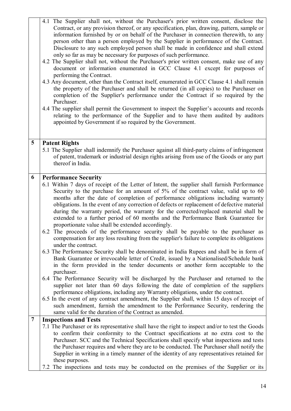|                | 4.1 The Supplier shall not, without the Purchaser's prior written consent, disclose the<br>Contract, or any provision thereof, or any specification, plan, drawing, pattern, sample or<br>information furnished by or on behalf of the Purchaser in connection therewith, to any<br>person other than a person employed by the Supplier in performance of the Contract.<br>Disclosure to any such employed person shall be made in confidence and shall extend<br>only so far as may be necessary for purposes of such performance.<br>4.2 The Supplier shall not, without the Purchaser's prior written consent, make use of any<br>document or information enumerated in GCC Clause 4.1 except for purposes of<br>performing the Contract.<br>4.3 Any document, other than the Contract itself, enumerated in GCC Clause 4.1 shall remain<br>the property of the Purchaser and shall be returned (in all copies) to the Purchaser on<br>completion of the Supplier's performance under the Contract if so required by the<br>Purchaser.<br>4.4 The supplier shall permit the Government to inspect the Supplier's accounts and records<br>relating to the performance of the Supplier and to have them audited by auditors<br>appointed by Government if so required by the Government. |
|----------------|-------------------------------------------------------------------------------------------------------------------------------------------------------------------------------------------------------------------------------------------------------------------------------------------------------------------------------------------------------------------------------------------------------------------------------------------------------------------------------------------------------------------------------------------------------------------------------------------------------------------------------------------------------------------------------------------------------------------------------------------------------------------------------------------------------------------------------------------------------------------------------------------------------------------------------------------------------------------------------------------------------------------------------------------------------------------------------------------------------------------------------------------------------------------------------------------------------------------------------------------------------------------------------------------|
|                |                                                                                                                                                                                                                                                                                                                                                                                                                                                                                                                                                                                                                                                                                                                                                                                                                                                                                                                                                                                                                                                                                                                                                                                                                                                                                           |
| 5              | <b>Patent Rights</b><br>5.1 The Supplier shall indemnify the Purchaser against all third-party claims of infringement<br>of patent, trademark or industrial design rights arising from use of the Goods or any part<br>thereof in India.                                                                                                                                                                                                                                                                                                                                                                                                                                                                                                                                                                                                                                                                                                                                                                                                                                                                                                                                                                                                                                                  |
| 6              | <b>Performance Security</b>                                                                                                                                                                                                                                                                                                                                                                                                                                                                                                                                                                                                                                                                                                                                                                                                                                                                                                                                                                                                                                                                                                                                                                                                                                                               |
|                | 6.1 Within 7 days of receipt of the Letter of Intent, the supplier shall furnish Performance<br>Security to the purchase for an amount of 5% of the contract value, valid up to 60<br>months after the date of completion of performance obligations including warranty<br>obligations. In the event of any correction of defects or replacement of defective material<br>during the warranty period, the warranty for the corrected/replaced material shall be<br>extended to a further period of 60 months and the Performance Bank Guarantee for<br>proportionate value shall be extended accordingly.<br>6.2 The proceeds of the performance security shall be payable to the purchaser as                                                                                                                                                                                                                                                                                                                                                                                                                                                                                                                                                                                            |
|                | compensation for any loss resulting from the supplier's failure to complete its obligations                                                                                                                                                                                                                                                                                                                                                                                                                                                                                                                                                                                                                                                                                                                                                                                                                                                                                                                                                                                                                                                                                                                                                                                               |
|                | under the contract.<br>6.3 The Performance Security shall be denominated in India Rupees and shall be in form of<br>Bank Guarantee or irrevocable letter of Credit, issued by a Nationalised/Schedule bank<br>in the form provided in the tender documents or another form acceptable to the<br>purchaser.                                                                                                                                                                                                                                                                                                                                                                                                                                                                                                                                                                                                                                                                                                                                                                                                                                                                                                                                                                                |
|                | 6.4 The Performance Security will be discharged by the Purchaser and returned to the<br>supplier not later than 60 days following the date of completion of the suppliers<br>performance obligations, including any Warranty obligations, under the contract.                                                                                                                                                                                                                                                                                                                                                                                                                                                                                                                                                                                                                                                                                                                                                                                                                                                                                                                                                                                                                             |
|                | 6.5 In the event of any contract amendment, the Supplier shall, within 15 days of receipt of<br>such amendment, furnish the amendment to the Performance Security, rendering the<br>same valid for the duration of the Contract as amended.                                                                                                                                                                                                                                                                                                                                                                                                                                                                                                                                                                                                                                                                                                                                                                                                                                                                                                                                                                                                                                               |
| $\overline{7}$ | <b>Inspections and Tests</b><br>7.1 The Purchaser or its representative shall have the right to inspect and/or to test the Goods                                                                                                                                                                                                                                                                                                                                                                                                                                                                                                                                                                                                                                                                                                                                                                                                                                                                                                                                                                                                                                                                                                                                                          |
|                | to confirm their conformity to the Contract specifications at no extra cost to the<br>Purchaser. SCC and the Technical Specifications shall specify what inspections and tests<br>the Purchaser requires and where they are to be conducted. The Purchaser shall notify the<br>Supplier in writing in a timely manner of the identity of any representatives retained for<br>these purposes.                                                                                                                                                                                                                                                                                                                                                                                                                                                                                                                                                                                                                                                                                                                                                                                                                                                                                              |
|                | 7.2 The inspections and tests may be conducted on the premises of the Supplier or its                                                                                                                                                                                                                                                                                                                                                                                                                                                                                                                                                                                                                                                                                                                                                                                                                                                                                                                                                                                                                                                                                                                                                                                                     |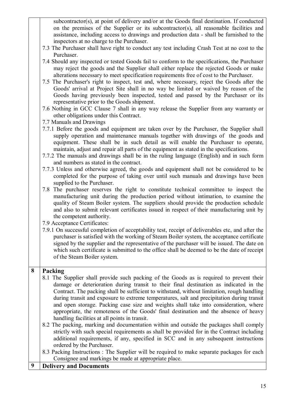subcontractor(s), at point of delivery and/or at the Goods final destination. If conducted on the premises of the Supplier or its subcontractor(s), all reasonable facilities and assistance, including access to drawings and production data - shall be furnished to the inspectors at no charge to the Purchaser.

- 7.3 The Purchaser shall have right to conduct any test including Crash Test at no cost to the Purchaser.
- 7.4 Should any inspected or tested Goods fail to conform to the specifications, the Purchaser may reject the goods and the Supplier shall either replace the rejected Goods or make alterations necessary to meet specification requirements free of cost to the Purchaser.
- 7.5 The Purchaser's right to inspect, test and, where necessary, reject the Goods after the Goods' arrival at Project Site shall in no way be limited or waived by reason of the Goods having previously been inspected, tested and passed by the Purchaser or its representative prior to the Goods shipment.
- 7.6 Nothing in GCC Clause 7 shall in any way release the Supplier from any warranty or other obligations under this Contract.
- 7.7 Manuals and Drawings
- 7.7.1 Before the goods and equipment are taken over by the Purchaser, the Supplier shall supply operation and maintenance manuals together with drawings of the goods and equipment. These shall be in such detail as will enable the Purchaser to operate, maintain, adjust and repair all parts of the equipment as stated in the specifications.
- 7.7.2 The manuals and drawings shall be in the ruling language (English) and in such form and numbers as stated in the contract.
- 7.7.3 Unless and otherwise agreed, the goods and equipment shall not be considered to be completed for the purpose of taking over until such manuals and drawings have been supplied to the Purchaser.
- 7.8 The purchaser reserves the right to constitute technical committee to inspect the manufacturing unit during the production period without intimation, to examine the quality of Steam Boiler system. The suppliers should provide the production schedule and also to submit relevant certificates issued in respect of their manufacturing unit by the competent authority.
- 7.9 Acceptance Certificates:
- 7.9.1 On successful completion of acceptability test, receipt of deliverables etc, and after the purchaser is satisfied with the working of Steam Boiler system, the acceptance certificate signed by the supplier and the representative of the purchaser will be issued. The date on which such certificate is submitted to the office shall be deemed to be the date of receipt of the Steam Boiler system.

## **8 Packing**

- 8.1 The Supplier shall provide such packing of the Goods as is required to prevent their damage or deterioration during transit to their final destination as indicated in the Contract. The packing shall be sufficient to withstand, without limitation, rough handling during transit and exposure to extreme temperatures, salt and precipitation during transit and open storage. Packing case size and weights shall take into consideration, where appropriate, the remoteness of the Goods' final destination and the absence of heavy handling facilities at all points in transit.
- 8.2 The packing, marking and documentation within and outside the packages shall comply strictly with such special requirements as shall be provided for in the Contract including additional requirements, if any, specified in SCC and in any subsequent instructions ordered by the Purchaser.
- 8.3 Packing Instructions : The Supplier will be required to make separate packages for each Consignee and markings be made at appropriate place.
- **9 Delivery and Documents**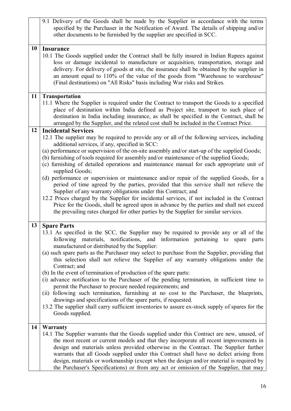|    | 9.1 Delivery of the Goods shall be made by the Supplier in accordance with the terms<br>specified by the Purchaser in the Notification of Award. The details of shipping and/or<br>other documents to be furnished by the supplier are specified in SCC.                                                                                                                                                                                                                                                                                                                                                                                                                                                                                                                                                                                                                                                                                                                                                                            |  |  |  |
|----|-------------------------------------------------------------------------------------------------------------------------------------------------------------------------------------------------------------------------------------------------------------------------------------------------------------------------------------------------------------------------------------------------------------------------------------------------------------------------------------------------------------------------------------------------------------------------------------------------------------------------------------------------------------------------------------------------------------------------------------------------------------------------------------------------------------------------------------------------------------------------------------------------------------------------------------------------------------------------------------------------------------------------------------|--|--|--|
| 10 | <b>Insurance</b><br>10.1 The Goods supplied under the Contract shall be fully insured in Indian Rupees against<br>loss or damage incidental to manufacture or acquisition, transportation, storage and<br>delivery. For delivery of goods at site, the insurance shall be obtained by the supplier in<br>an amount equal to 110% of the value of the goods from "Warehouse to warehouse"<br>(Final destinations) on "All Risks" basis including War risks and Strikes.                                                                                                                                                                                                                                                                                                                                                                                                                                                                                                                                                              |  |  |  |
| 11 | Transportation<br>11.1 Where the Supplier is required under the Contract to transport the Goods to a specified<br>place of destination within India defined as Project site, transport to such place of<br>destination in India including insurance, as shall be specified in the Contract, shall be<br>arranged by the Supplier, and the related cost shall be included in the Contract Price.                                                                                                                                                                                                                                                                                                                                                                                                                                                                                                                                                                                                                                     |  |  |  |
| 12 | <b>Incidental Services</b><br>12.1 The supplier may be required to provide any or all of the following services, including<br>additional services, if any, specified in SCC:<br>(a) performance or supervision of the on-site assembly and/or start-up of the supplied Goods;<br>(b) furnishing of tools required for assembly and/or maintenance of the supplied Goods;<br>(c) furnishing of detailed operations and maintenance manual for each appropriate unit of<br>supplied Goods;<br>(d) performance or supervision or maintenance and/or repair of the supplied Goods, for a<br>period of time agreed by the parties, provided that this service shall not relieve the<br>Supplier of any warranty obligations under this Contract; and<br>12.2 Prices charged by the Supplier for incidental services, if not included in the Contract<br>Price for the Goods, shall be agreed upon in advance by the parties and shall not exceed<br>the prevailing rates charged for other parties by the Supplier for similar services. |  |  |  |
| 13 | <b>Spare Parts</b><br>13.1 As specified in the SCC, the Supplier may be required to provide any or all of the<br>following materials, notifications, and information pertaining to spare<br>parts<br>manufactured or distributed by the Supplier:<br>(a) such spare parts as the Purchaser may select to purchase from the Supplier, providing that<br>this selection shall not relieve the Supplier of any warranty obligations under the<br>Contract; and<br>(b) In the event of termination of production of the spare parts:<br>(i) advance notification to the Purchaser of the pending termination, in sufficient time to<br>permit the Purchaser to procure needed requirements; and<br>(ii) following such termination, furnishing at no cost to the Purchaser, the blueprints,<br>drawings and specifications of the spare parts, if requested.<br>13.2 The supplier shall carry sufficient inventories to assure ex-stock supply of spares for the<br>Goods supplied.                                                     |  |  |  |
| 14 | Warranty<br>14.1 The Supplier warrants that the Goods supplied under this Contract are new, unused, of<br>the most recent or current models and that they incorporate all recent improvements in<br>design and materials unless provided otherwise in the Contract. The Supplier further<br>warrants that all Goods supplied under this Contract shall have no defect arising from<br>design, materials or workmanship (except when the design and/or material is required by<br>the Purchaser's Specifications) or from any act or omission of the Supplier, that may                                                                                                                                                                                                                                                                                                                                                                                                                                                              |  |  |  |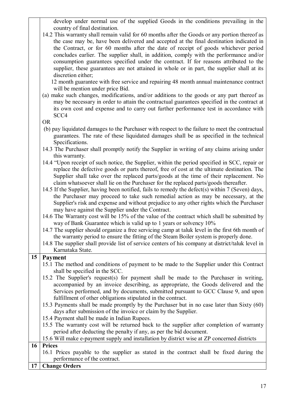develop under normal use of the supplied Goods in the conditions prevailing in the country of final destination.

14.2 This warranty shall remain valid for 60 months after the Goods or any portion thereof as the case may be, have been delivered and accepted at the final destination indicated in the Contract, or for 60 months after the date of receipt of goods whichever period concludes earlier. The supplier shall, in addition, comply with the performance and/or consumption guarantees specified under the contract. If for reasons attributed to the supplier, these guarantees are not attained in whole or in part, the supplier shall at its discretion either;

 12 month guarantee with free service and repairing 48 month annual maintenance contract will be mention under price Bid.

(a) make such changes, modifications, and/or additions to the goods or any part thereof as may be necessary in order to attain the contractual guarantees specified in the contract at its own cost and expense and to carry out further performance test in accordance with SCC4

OR

- (b) pay liquidated damages to the Purchaser with respect to the failure to meet the contractual guarantees. The rate of these liquidated damages shall be as specified in the technical Specifications.
- 14.3 The Purchaser shall promptly notify the Supplier in writing of any claims arising under this warranty.
- 14.4 "Upon receipt of such notice, the Supplier, within the period specified in SCC, repair or replace the defective goods or parts thereof, free of cost at the ultimate destination. The Supplier shall take over the replaced parts/goods at the time of their replacement. No claim whatsoever shall lie on the Purchaser for the replaced parts/goods thereafter.
- 14.5 If the Supplier, having been notified, fails to remedy the defect(s) within 7 (Seven) days, the Purchaser may proceed to take such remedial action as may be necessary, at the Supplier's risk and expense and without prejudice to any other rights which the Purchaser may have against the Supplier under the Contract.
- 14.6 The Warranty cost will be 15% of the value of the contract which shall be submitted by way of Bank Guarantee which is valid up to 1 years or solvency 10%
- 14.7 The supplier should organize a free servicing camp at taluk level in the first 6th month of the warranty period to ensure the fitting of the Steam Boiler system is properly done.
- 14.8 The supplier shall provide list of service centers of his company at district/taluk level in Karnataka State.

## **15 Payment**

- 15.1 The method and conditions of payment to be made to the Supplier under this Contract shall be specified in the SCC.
- 15.2 The Supplier's request(s) for payment shall be made to the Purchaser in writing, accompanied by an invoice describing, as appropriate, the Goods delivered and the Services performed, and by documents, submitted pursuant to GCC Clause 9, and upon fulfillment of other obligations stipulated in the contract.
- 15.3 Payments shall be made promptly by the Purchaser but in no case later than Sixty (60) days after submission of the invoice or claim by the Supplier.
- 15.4 Payment shall be made in Indian Rupees.
- 15.5 The warranty cost will be returned back to the supplier after completion of warranty period after deducting the penalty if any, as per the bid document.

## 15.6 Will make e-payment supply and installation by district wise at ZP concerned districts

## **16 Prices**

16.1 Prices payable to the supplier as stated in the contract shall be fixed during the performance of the contract.

## **17 Change Orders**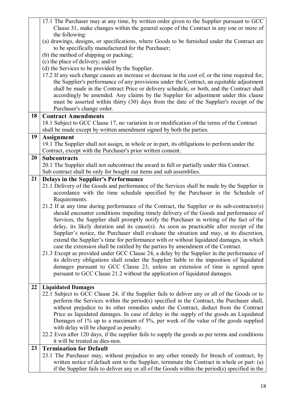|    | 17.1 The Purchaser may at any time, by written order given to the Supplier pursuant to GCC       |  |  |  |
|----|--------------------------------------------------------------------------------------------------|--|--|--|
|    | Clause 31, make changes within the general scope of the Contract in any one or more of           |  |  |  |
|    | the following:                                                                                   |  |  |  |
|    | (a) drawings, designs, or specifications, where Goods to be furnished under the Contract are     |  |  |  |
|    | to be specifically manufactured for the Purchaser;                                               |  |  |  |
|    | (b) the method of shipping or packing;                                                           |  |  |  |
|    | (c) the place of delivery; and/or                                                                |  |  |  |
|    | (d) the Services to be provided by the Supplier.                                                 |  |  |  |
|    | 17.2 If any such change causes an increase or decrease in the cost of, or the time required for, |  |  |  |
|    | the Supplier's performance of any provisions under the Contract, an equitable adjustment         |  |  |  |
|    | shall be made in the Contract Price or delivery schedule, or both, and the Contract shall        |  |  |  |
|    | accordingly be amended. Any claims by the Supplier for adjustment under this clause              |  |  |  |
|    | must be asserted within thirty (30) days from the date of the Supplier's receipt of the          |  |  |  |
|    | Purchaser's change order.                                                                        |  |  |  |
| 18 | <b>Contract Amendments</b>                                                                       |  |  |  |
|    | 18.1 Subject to GCC Clause 17, no variation in or modification of the terms of the Contract      |  |  |  |
|    | shall be made except by written amendment signed by both the parties.                            |  |  |  |
| 19 | <b>Assignment</b>                                                                                |  |  |  |
|    | 19.1 The Supplier shall not assign, in whole or in part, its obligations to perform under the    |  |  |  |
|    | Contract, except with the Purchaser's prior written consent.                                     |  |  |  |
| 20 | <b>Subcontracts</b>                                                                              |  |  |  |
|    | 20.1 The Supplier shall not subcontract the award in full or partially under this Contract.      |  |  |  |
|    | Sub contract shall be only for bought out items and sub assemblies.                              |  |  |  |
| 21 | <b>Delays in the Supplier's Performance</b>                                                      |  |  |  |
|    | 21.1 Delivery of the Goods and performance of the Services shall be made by the Supplier in      |  |  |  |
|    | accordance with the time schedule specified by the Purchaser in the Schedule of                  |  |  |  |
|    | Requirements.                                                                                    |  |  |  |
|    | 21.2 If at any time during performance of the Contract, the Supplier or its sub-contractor(s)    |  |  |  |
|    | should encounter conditions impeding timely delivery of the Goods and performance of             |  |  |  |
|    | Services, the Supplier shall promptly notify the Purchaser in writing of the fact of the         |  |  |  |
|    | delay, its likely duration and its cause(s). As soon as practicable after receipt of the         |  |  |  |
|    | Supplier's notice, the Purchaser shall evaluate the situation and may, at its discretion,        |  |  |  |
|    | extend the Supplier's time for performance with or without liquidated damages, in which          |  |  |  |
|    | case the extension shall be ratified by the parties by amendment of the Contract.                |  |  |  |
|    | 21.3 Except as provided under GCC Clause 24, a delay by the Supplier in the performance of       |  |  |  |
|    | its delivery obligations shall render the Supplier liable to the imposition of liquidated        |  |  |  |
|    | damages pursuant to GCC Clause 23, unless an extension of time is agreed upon                    |  |  |  |
|    | pursuant to GCC Clause 21.2 without the application of liquidated damages.                       |  |  |  |
| 22 | <b>Liquidated Damages</b>                                                                        |  |  |  |
|    | 22.1 Subject to GCC Clause 24, if the Supplier fails to deliver any or all of the Goods or to    |  |  |  |
|    | perform the Services within the period(s) specified in the Contract, the Purchaser shall,        |  |  |  |
|    | without prejudice to its other remedies under the Contract, deduct from the Contract             |  |  |  |
|    | Price as liquidated damages. In case of delay in the supply of the goods an Liquidated           |  |  |  |
|    | Damages of 1% up to a maximum of 5%, per week of the value of the goods supplied                 |  |  |  |
|    | with delay will be charged as penalty.                                                           |  |  |  |
|    | 22.2 Even after 120 days, if the supplier fails to supply the goods as per terms and conditions  |  |  |  |
|    | it will be treated as dies-non.                                                                  |  |  |  |
| 23 | <b>Termination for Default</b>                                                                   |  |  |  |
|    | 23.1 The Purchaser may, without prejudice to any other remedy for breach of contract, by         |  |  |  |
|    | written notice of default sent to the Supplier, terminate the Contract in whole or part: (a)     |  |  |  |
|    | if the Supplier fails to deliver any or all of the Goods within the period(s) specified in the   |  |  |  |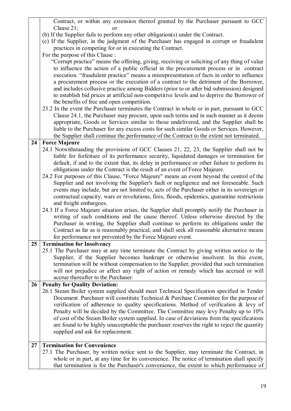Contract, or within any extension thereof granted by the Purchaser pursuant to GCC Clause 21; or

- (b) If the Supplier fails to perform any other obligation(s) under the Contract.
- (c) If the Supplier, in the judgment of the Purchaser has engaged in corrupt or fraudulent practices in competing for or in executing the Contract.

For the purpose of this Clause :

 "Corrupt practice" means the offering, giving, receiving or soliciting of any thing of value to influence the action of a public official in the procurement process or in contract execution. "fraudulent practice" means a misrepresentation of facts in order to influence a procurement process or the execution of a contract to the detriment of the Borrower, and includes collusive practice among Bidders (prior to or after bid submission) designed to establish bid prices at artificial non-competitive levels and to deprive the Borrower of the benefits of free and open competition.

23.2 In the event the Purchaser terminates the Contract in whole or in part, pursuant to GCC Clause 24.1, the Purchaser may procure, upon such terms and in such manner as it deems appropriate, Goods or Services similar to those undelivered, and the Supplier shall be liable to the Purchaser for any excess costs for such similar Goods or Services. However, the Supplier shall continue the performance of the Contract to the extent not terminated.

## **24 Force Majeure**

- 24.1 Notwithstanding the provisions of GCC Clauses 21, 22, 23, the Supplier shall not be liable for forfeiture of its performance security, liquidated damages or termination for default, if and to the extent that, its delay in performance or other failure to perform its obligations under the Contract is the result of an event of Force Majeure.
- 24.2 For purposes of this Clause, "Force Majeure" means an event beyond the control of the Supplier and not involving the Supplier's fault or negligence and not foreseeable. Such events may include, but are not limited to, acts of the Purchaser either in its sovereign or contractual capacity, wars or revolutions, fires, floods, epidemics, quarantine restrictions and freight embargoes.
- 24.3 If a Force Majeure situation arises, the Supplier shall promptly notify the Purchaser in writing of such conditions and the cause thereof. Unless otherwise directed by the Purchaser in writing, the Supplier shall continue to perform its obligations under the Contract as far as is reasonably practical, and shall seek all reasonable alternative means for performance not prevented by the Force Majeure event.

## **25 Termination for Insolvency**

25.1 The Purchaser may at any time terminate the Contract by giving written notice to the Supplier, if the Supplier becomes bankrupt or otherwise insolvent. In this event, termination will be without compensation to the Supplier, provided that such termination will not prejudice or affect any right of action or remedy which has accrued or will accrue thereafter to the Purchaser.

### **26 Penalty for Quality Deviation:**

26.1 Steam Boiler system supplied should meet Technical Specification specified in Tender Document. Purchaser will constitute Technical & Purchase Committee for the purpose of verification of adherence to quality specifications. Method of verification & levy of Penalty will be decided by the Committee. The Committee may levy Penalty up to 10% of cost of the Steam Boiler system supplied. In case of deviations from the specifications are found to be highly unacceptable the purchaser reserves the right to reject the quantity supplied and ask for replacement.

## **27 Termination for Convenience**

27.1 The Purchaser, by written notice sent to the Supplier, may terminate the Contract, in whole or in part, at any time for its convenience. The notice of termination shall specify that termination is for the Purchaser's convenience, the extent to which performance of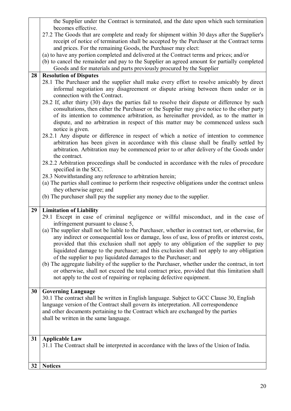|    | the Supplier under the Contract is terminated, and the date upon which such termination            |  |  |  |
|----|----------------------------------------------------------------------------------------------------|--|--|--|
|    | becomes effective.                                                                                 |  |  |  |
|    | 27.2 The Goods that are complete and ready for shipment within 30 days after the Supplier's        |  |  |  |
|    | receipt of notice of termination shall be accepted by the Purchaser at the Contract terms          |  |  |  |
|    | and prices. For the remaining Goods, the Purchaser may elect:                                      |  |  |  |
|    | (a) to have any portion completed and delivered at the Contract terms and prices; and/or           |  |  |  |
|    | (b) to cancel the remainder and pay to the Supplier an agreed amount for partially completed       |  |  |  |
|    | Goods and for materials and parts previously procured by the Supplier                              |  |  |  |
| 28 | <b>Resolution of Disputes</b>                                                                      |  |  |  |
|    | 28.1 The Purchaser and the supplier shall make every effort to resolve amicably by direct          |  |  |  |
|    | informal negotiation any disagreement or dispute arising between them under or in                  |  |  |  |
|    | connection with the Contract.                                                                      |  |  |  |
|    | 28.2 If, after thirty (30) days the parties fail to resolve their dispute or difference by such    |  |  |  |
|    | consultations, then either the Purchaser or the Supplier may give notice to the other party        |  |  |  |
|    | of its intention to commence arbitration, as hereinafter provided, as to the matter in             |  |  |  |
|    | dispute, and no arbitration in respect of this matter may be commenced unless such                 |  |  |  |
|    | notice is given.                                                                                   |  |  |  |
|    | 28.2.1 Any dispute or difference in respect of which a notice of intention to commence             |  |  |  |
|    | arbitration has been given in accordance with this clause shall be finally settled by              |  |  |  |
|    | arbitration. Arbitration may be commenced prior to or after delivery of the Goods under            |  |  |  |
|    | the contract.                                                                                      |  |  |  |
|    | 28.2.2 Arbitration proceedings shall be conducted in accordance with the rules of procedure        |  |  |  |
|    | specified in the SCC.                                                                              |  |  |  |
|    | 28.3 Notwithstanding any reference to arbitration herein;                                          |  |  |  |
|    | (a) The parties shall continue to perform their respective obligations under the contract unless   |  |  |  |
|    | they otherwise agree; and                                                                          |  |  |  |
|    | (b) The purchaser shall pay the supplier any money due to the supplier.                            |  |  |  |
|    |                                                                                                    |  |  |  |
| 29 | <b>Limitation of Liability</b>                                                                     |  |  |  |
|    | 29.1 Except in case of criminal negligence or willful misconduct, and in the case of               |  |  |  |
|    | infringement pursuant to clause 5,                                                                 |  |  |  |
|    | (a) The supplier shall not be liable to the Purchaser, whether in contract tort, or otherwise, for |  |  |  |
|    | any indirect or consequential loss or damage, loss of use, loss of profits or interest costs,      |  |  |  |
|    | provided that this exclusion shall not apply to any obligation of the supplier to pay              |  |  |  |
|    | liquidated damage to the purchaser; and this exclusion shall not apply to any obligation           |  |  |  |
|    | of the supplier to pay liquidated damages to the Purchaser; and                                    |  |  |  |
|    | (b) The aggregate liability of the supplier to the Purchaser, whether under the contract, in tort  |  |  |  |
|    | or otherwise, shall not exceed the total contract price, provided that this limitation shall       |  |  |  |
|    | not apply to the cost of repairing or replacing defective equipment.                               |  |  |  |
|    |                                                                                                    |  |  |  |
| 30 | <b>Governing Language</b>                                                                          |  |  |  |
|    | 30.1 The contract shall be written in English language. Subject to GCC Clause 30, English          |  |  |  |
|    | language version of the Contract shall govern its interpretation. All correspondence               |  |  |  |
|    | and other documents pertaining to the Contract which are exchanged by the parties                  |  |  |  |
|    | shall be written in the same language.                                                             |  |  |  |
|    |                                                                                                    |  |  |  |
|    |                                                                                                    |  |  |  |
| 31 | <b>Applicable Law</b>                                                                              |  |  |  |
|    |                                                                                                    |  |  |  |
|    | 31.1 The Contract shall be interpreted in accordance with the laws of the Union of India.          |  |  |  |
|    |                                                                                                    |  |  |  |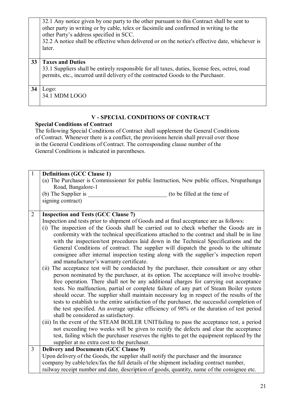|    | 32.1 Any notice given by one party to the other pursuant to this Contract shall be sent to<br>other party in writing or by cable, telex or facsimile and confirmed in writing to the<br>other Party's address specified in SCC.<br>32.2 A notice shall be effective when delivered or on the notice's effective date, whichever is<br>later. |  |  |  |
|----|----------------------------------------------------------------------------------------------------------------------------------------------------------------------------------------------------------------------------------------------------------------------------------------------------------------------------------------------|--|--|--|
| 33 | <b>Taxes and Duties</b><br>33.1 Suppliers shall be entirely responsible for all taxes, duties, license fees, octroi, road<br>permits, etc., incurred until delivery of the contracted Goods to the Purchaser.                                                                                                                                |  |  |  |
| 34 | $Logo$ :<br>34.1 MDM LOGO                                                                                                                                                                                                                                                                                                                    |  |  |  |

## **V - SPECIAL CONDITIONS OF CONTRACT**

## **Special Conditions of Contract**

The following Special Conditions of Contract shall supplement the General Conditions of Contract. Whenever there is a conflict, the provisions herein shall prevail over those in the General Conditions of Contract. The corresponding clause number of the General Conditions is indicated in parentheses.

| $\mathbf{1}$   | <b>Definitions (GCC Clause 1)</b>                                                                                                                                                        |  |  |
|----------------|------------------------------------------------------------------------------------------------------------------------------------------------------------------------------------------|--|--|
|                | (a) The Purchaser is Commissioner for public Instruction, New public offices, Nrupathunga                                                                                                |  |  |
|                | Road, Bangalore-1                                                                                                                                                                        |  |  |
|                | (b) The Supplier is<br>(to be filled at the time of                                                                                                                                      |  |  |
|                | signing contract)                                                                                                                                                                        |  |  |
|                |                                                                                                                                                                                          |  |  |
| $\overline{2}$ | <b>Inspection and Tests (GCC Clause 7)</b>                                                                                                                                               |  |  |
|                | Inspection and tests prior to shipment of Goods and at final acceptance are as follows:                                                                                                  |  |  |
|                | (i) The inspection of the Goods shall be carried out to check whether the Goods are in                                                                                                   |  |  |
|                | conformity with the technical specifications attached to the contract and shall be in line                                                                                               |  |  |
|                | with the inspection/test procedures laid down in the Technical Specifications and the                                                                                                    |  |  |
|                | General Conditions of contract. The supplier will dispatch the goods to the ultimate                                                                                                     |  |  |
|                | consignee after internal inspection testing along with the supplier's inspection report                                                                                                  |  |  |
|                | and manufacturer's warranty certificate.                                                                                                                                                 |  |  |
|                | (ii) The acceptance test will be conducted by the purchaser, their consultant or any other                                                                                               |  |  |
|                | person nominated by the purchaser, at its option. The acceptance will involve trouble-                                                                                                   |  |  |
|                | free operation. There shall not be any additional charges for carrying out acceptance                                                                                                    |  |  |
|                | tests. No malfunction, partial or complete failure of any part of Steam Boiler system                                                                                                    |  |  |
|                | should occur. The supplier shall maintain necessary log in respect of the results of the<br>tests to establish to the entire satisfaction of the purchaser, the successful completion of |  |  |
|                |                                                                                                                                                                                          |  |  |
|                | the test specified. An average uptake efficiency of 98% or the duration of test period                                                                                                   |  |  |
|                | shall be considered as satisfactory.                                                                                                                                                     |  |  |
|                | (iii) In the event of the STEAM BOILER UNITfailing to pass the acceptance test, a period                                                                                                 |  |  |
|                | not exceeding two weeks will be given to rectify the defects and clear the acceptance                                                                                                    |  |  |
|                | test, failing which the purchaser reserves the rights to get the equipment replaced by the                                                                                               |  |  |
|                | supplier at no extra cost to the purchaser.                                                                                                                                              |  |  |
| $\overline{3}$ | <b>Delivery and Documents (GCC Clause 9)</b>                                                                                                                                             |  |  |
|                | Upon delivery of the Goods, the supplier shall notify the purchaser and the insurance                                                                                                    |  |  |
|                | company by cable/telex/fax the full details of the shipment including contract number,                                                                                                   |  |  |
|                | railway receipt number and date, description of goods, quantity, name of the consignee etc.                                                                                              |  |  |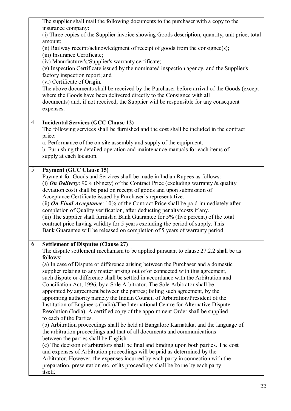|                 | The supplier shall mail the following documents to the purchaser with a copy to the<br>insurance company:<br>(i) Three copies of the Supplier invoice showing Goods description, quantity, unit price, total                                                                                                                                                                                                                                                                                                                                                                                                                                                                                                                                                                                                                                                                                                                                                                                                                                                                                                                                                                                                                                                                                                                                                                                                                       |
|-----------------|------------------------------------------------------------------------------------------------------------------------------------------------------------------------------------------------------------------------------------------------------------------------------------------------------------------------------------------------------------------------------------------------------------------------------------------------------------------------------------------------------------------------------------------------------------------------------------------------------------------------------------------------------------------------------------------------------------------------------------------------------------------------------------------------------------------------------------------------------------------------------------------------------------------------------------------------------------------------------------------------------------------------------------------------------------------------------------------------------------------------------------------------------------------------------------------------------------------------------------------------------------------------------------------------------------------------------------------------------------------------------------------------------------------------------------|
|                 | amount;<br>(ii) Railway receipt/acknowledgment of receipt of goods from the consignee(s);<br>(iii) Insurance Certificate;                                                                                                                                                                                                                                                                                                                                                                                                                                                                                                                                                                                                                                                                                                                                                                                                                                                                                                                                                                                                                                                                                                                                                                                                                                                                                                          |
|                 | (iv) Manufacturer's/Supplier's warranty certificate;<br>(v) Inspection Certificate issued by the nominated inspection agency, and the Supplier's<br>factory inspection report; and<br>(vi) Certificate of Origin.                                                                                                                                                                                                                                                                                                                                                                                                                                                                                                                                                                                                                                                                                                                                                                                                                                                                                                                                                                                                                                                                                                                                                                                                                  |
|                 | The above documents shall be received by the Purchaser before arrival of the Goods (except<br>where the Goods have been delivered directly to the Consignee with all<br>documents) and, if not received, the Supplier will be responsible for any consequent<br>expenses.                                                                                                                                                                                                                                                                                                                                                                                                                                                                                                                                                                                                                                                                                                                                                                                                                                                                                                                                                                                                                                                                                                                                                          |
| $\overline{4}$  | <b>Incidental Services (GCC Clause 12)</b><br>The following services shall be furnished and the cost shall be included in the contract<br>price:                                                                                                                                                                                                                                                                                                                                                                                                                                                                                                                                                                                                                                                                                                                                                                                                                                                                                                                                                                                                                                                                                                                                                                                                                                                                                   |
|                 | a. Performance of the on-site assembly and supply of the equipment.<br>b. Furnishing the detailed operation and maintenance manuals for each items of<br>supply at each location.                                                                                                                                                                                                                                                                                                                                                                                                                                                                                                                                                                                                                                                                                                                                                                                                                                                                                                                                                                                                                                                                                                                                                                                                                                                  |
| $5\overline{)}$ | <b>Payment (GCC Clause 15)</b><br>Payment for Goods and Services shall be made in Indian Rupees as follows:<br>(i) <b>On Delivery</b> : 90% (Ninety) of the Contract Price (excluding warranty $\&$ quality<br>deviation cost) shall be paid on receipt of goods and upon submission of<br>Acceptance Certificate issued by Purchaser's representative.<br>(ii) <b>On Final Acceptance</b> : 10% of the Contract Price shall be paid immediately after<br>completion of Quality verification, after deducting penalty/costs if any.<br>(iii) The supplier shall furnish a Bank Guarantee for 5% (five percent) of the total<br>contract price having validity for 5 years excluding the period of supply. This<br>Bank Guarantee will be released on completion of 5 years of warranty period.                                                                                                                                                                                                                                                                                                                                                                                                                                                                                                                                                                                                                                     |
| 6               | <b>Settlement of Disputes (Clause 27)</b><br>The dispute settlement mechanism to be applied pursuant to clause 27.2.2 shall be as<br>follows;<br>(a) In case of Dispute or difference arising between the Purchaser and a domestic<br>supplier relating to any matter arising out of or connected with this agreement,<br>such dispute or difference shall be settled in accordance with the Arbitration and<br>Conciliation Act, 1996, by a Sole Arbitrator. The Sole Arbitrator shall be<br>appointed by agreement between the parties; failing such agreement, by the<br>appointing authority namely the Indian Council of Arbitration/President of the<br>Institution of Engineers (India)/The International Centre for Alternative Dispute<br>Resolution (India). A certified copy of the appointment Order shall be supplied<br>to each of the Parties.<br>(b) Arbitration proceedings shall be held at Bangalore Karnataka, and the language of<br>the arbitration proceedings and that of all documents and communications<br>between the parties shall be English.<br>(c) The decision of arbitrators shall be final and binding upon both parties. The cost<br>and expenses of Arbitration proceedings will be paid as determined by the<br>Arbitrator. However, the expenses incurred by each party in connection with the<br>preparation, presentation etc. of its proceedings shall be borne by each party<br>itself. |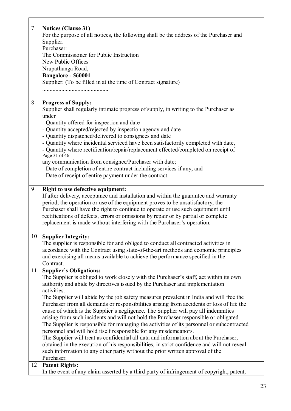| $\overline{7}$    | <b>Notices (Clause 31)</b><br>For the purpose of all notices, the following shall be the address of the Purchaser and<br>Supplier.                                          |  |  |  |
|-------------------|-----------------------------------------------------------------------------------------------------------------------------------------------------------------------------|--|--|--|
|                   | Purchaser:                                                                                                                                                                  |  |  |  |
|                   | The Commissioner for Public Instruction                                                                                                                                     |  |  |  |
|                   | New Public Offices                                                                                                                                                          |  |  |  |
| Nrupathunga Road, |                                                                                                                                                                             |  |  |  |
|                   | Bangalore - 560001                                                                                                                                                          |  |  |  |
|                   | Supplier: (To be filled in at the time of Contract signature)                                                                                                               |  |  |  |
|                   |                                                                                                                                                                             |  |  |  |
| 8                 | <b>Progress of Supply:</b>                                                                                                                                                  |  |  |  |
|                   | Supplier shall regularly intimate progress of supply, in writing to the Purchaser as<br>under                                                                               |  |  |  |
|                   | - Quantity offered for inspection and date                                                                                                                                  |  |  |  |
|                   | - Quantity accepted/rejected by inspection agency and date                                                                                                                  |  |  |  |
|                   | - Quantity dispatched/delivered to consignees and date                                                                                                                      |  |  |  |
|                   | - Quantity where incidental serviced have been satisfactorily completed with date,                                                                                          |  |  |  |
|                   | - Quantity where rectification/repair/replacement effected/completed on receipt of<br>Page 31 of 46                                                                         |  |  |  |
|                   | any communication from consignee/Purchaser with date;                                                                                                                       |  |  |  |
|                   | - Date of completion of entire contract including services if any, and                                                                                                      |  |  |  |
|                   | - Date of receipt of entire payment under the contract.                                                                                                                     |  |  |  |
| 9                 | Right to use defective equipment:                                                                                                                                           |  |  |  |
|                   | If after delivery, acceptance and installation and within the guarantee and warranty                                                                                        |  |  |  |
|                   | period, the operation or use of the equipment proves to be unsatisfactory, the                                                                                              |  |  |  |
|                   | Purchaser shall have the right to continue to operate or use such equipment until                                                                                           |  |  |  |
|                   | rectifications of defects, errors or omissions by repair or by partial or complete                                                                                          |  |  |  |
|                   | replacement is made without interfering with the Purchaser's operation.                                                                                                     |  |  |  |
| 10                | <b>Supplier Integrity:</b>                                                                                                                                                  |  |  |  |
|                   | The supplier is responsible for and obliged to conduct all contracted activities in                                                                                         |  |  |  |
|                   | accordance with the Contract using state-of-the-art methods and economic principles                                                                                         |  |  |  |
|                   | and exercising all means available to achieve the performance specified in the                                                                                              |  |  |  |
|                   | Contract.                                                                                                                                                                   |  |  |  |
| 11                | <b>Supplier's Obligations:</b>                                                                                                                                              |  |  |  |
|                   | The Supplier is obliged to work closely with the Purchaser's staff, act within its own                                                                                      |  |  |  |
|                   | authority and abide by directives issued by the Purchaser and implementation                                                                                                |  |  |  |
|                   | activities.                                                                                                                                                                 |  |  |  |
|                   | The Supplier will abide by the job safety measures prevalent in India and will free the                                                                                     |  |  |  |
|                   | Purchaser from all demands or responsibilities arising from accidents or loss of life the                                                                                   |  |  |  |
|                   | cause of which is the Supplier's negligence. The Supplier will pay all indemnities<br>arising from such incidents and will not hold the Purchaser responsible or obligated. |  |  |  |
|                   | The Supplier is responsible for managing the activities of its personnel or subcontracted                                                                                   |  |  |  |
|                   | personnel and will hold itself responsible for any misdemeanors.                                                                                                            |  |  |  |
|                   | The Supplier will treat as confidential all data and information about the Purchaser,                                                                                       |  |  |  |
|                   | obtained in the execution of his responsibilities, in strict confidence and will not reveal                                                                                 |  |  |  |
|                   | such information to any other party without the prior written approval of the                                                                                               |  |  |  |
|                   | Purchaser.                                                                                                                                                                  |  |  |  |
| 12                | <b>Patent Rights:</b>                                                                                                                                                       |  |  |  |
|                   | In the event of any claim asserted by a third party of infringement of copyright, patent,                                                                                   |  |  |  |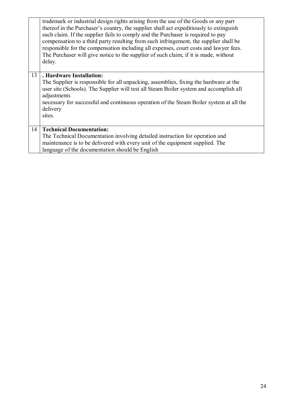|    | trademark or industrial design rights arising from the use of the Goods or any part<br>thereof in the Purchaser's country, the supplier shall act expeditionally to extinguish<br>such claim. If the supplier fails to comply and the Purchaser is required to pay<br>compensation to a third party resulting from such infringement, the supplier shall be<br>responsible for the compensation including all expenses, court costs and lawyer fees.<br>The Purchaser will give notice to the supplier of such claim, if it is made, without<br>delay. |
|----|--------------------------------------------------------------------------------------------------------------------------------------------------------------------------------------------------------------------------------------------------------------------------------------------------------------------------------------------------------------------------------------------------------------------------------------------------------------------------------------------------------------------------------------------------------|
| 13 | . Hardware Installation:<br>The Supplier is responsible for all unpacking, assemblies, fixing the hardware at the<br>user site (Schools). The Supplier will test all Steam Boiler system and accomplish all<br>adjustments<br>necessary for successful and continuous operation of the Steam Boiler system at all the<br>delivery<br>sites.                                                                                                                                                                                                            |
| 14 | <b>Technical Documentation:</b><br>The Technical Documentation involving detailed instruction for operation and<br>maintenance is to be delivered with every unit of the equipment supplied. The<br>language of the documentation should be English                                                                                                                                                                                                                                                                                                    |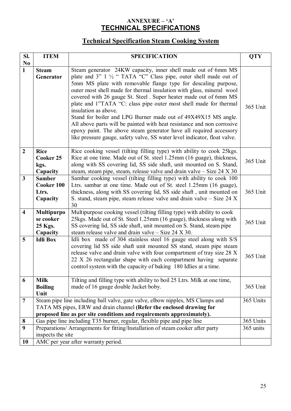## **ANNEXURE – 'A' TECHNICAL SPECIFICATIONS**

## **Technical Specification Steam Cooking System**

| SI.                     | <b>ITEM</b><br><b>SPECIFICATION</b>                                                                                                                                                                                                          |                                                                                                                                                                                                                                                                                                                                                                                                                                                                                                                                                                                                                                                                                                                                                            | <b>QTY</b> |
|-------------------------|----------------------------------------------------------------------------------------------------------------------------------------------------------------------------------------------------------------------------------------------|------------------------------------------------------------------------------------------------------------------------------------------------------------------------------------------------------------------------------------------------------------------------------------------------------------------------------------------------------------------------------------------------------------------------------------------------------------------------------------------------------------------------------------------------------------------------------------------------------------------------------------------------------------------------------------------------------------------------------------------------------------|------------|
| N <sub>0</sub>          |                                                                                                                                                                                                                                              |                                                                                                                                                                                                                                                                                                                                                                                                                                                                                                                                                                                                                                                                                                                                                            |            |
| $\mathbf{1}$            | <b>Steam</b><br>Generator                                                                                                                                                                                                                    | Steam generator 24KW capacity, inner shell made out of 6mm MS<br>plate and $3$ " $1\frac{1}{2}$ " TATA "C" Class pipe, outer shell made out of<br>5mm MS plate with removable flange type for descaling purpose,<br>outer most shell made for thermal insulation with glass, mineral wool<br>covered with 26 gauge St. Steel . Super heater made out of 6mm MS<br>plate and 1"TATA "C: class pipe outer most shell made for thermal<br>insulation as above.<br>Stand for boiler and LPG Burner made out of 49X49X15 MS angle.<br>All above parts will be painted with heat resistance and non corrosive<br>epoxy paint. The above steam generator have all required accessory<br>like pressure gauge, safety valve, SS water level indicator, float valve. | 365 Unit   |
| $\overline{2}$          | <b>Rice</b><br>Cooker 25<br>kgs.<br>Capacity                                                                                                                                                                                                 | Rice cooking vessel (tilting filling type) with ability to cook 25kgs.<br>Rice at one time. Made out of St. steel 1.25mm (16 guage), thickness,<br>365 Unit<br>along with SS covering lid, SS side shaft, unit mounted on S. Stand,<br>steam, steam pipe, steam, release valve and drain valve – Size 24 X 30                                                                                                                                                                                                                                                                                                                                                                                                                                              |            |
| $\overline{\mathbf{3}}$ | <b>Samber</b><br>Cooker 100<br>Ltrs.<br>Capacity                                                                                                                                                                                             | Sambar cooking vessel (tilting filling type) with ability to cook 100<br>Ltrs. sambar at one time. Made out of St. steel 1.25mm (16 guage),<br>thickness, along with SS covering lid, SS side shaft, unit mounted on<br>S. stand, steam pipe, steam release valve and drain valve – Size 24 X<br>30                                                                                                                                                                                                                                                                                                                                                                                                                                                        | 365 Unit   |
| $\overline{\mathbf{4}}$ | <b>Multipurpo</b><br>se cooker<br>25 Kgs.<br>Capacity                                                                                                                                                                                        | Multipurpose cooking vessel (tilting filling type) with ability to cook<br>25kgs. Made out of St. Steel 1.25mm (16 guage), thickness along with<br>365 Unit<br>SS covering lid, SS side shaft, unit mounted on S. Stand, steam pipe<br>steam release valve and drain valve $-$ Size 24 X 30.                                                                                                                                                                                                                                                                                                                                                                                                                                                               |            |
| 5                       | <b>Idli Box</b>                                                                                                                                                                                                                              | Idli box made of 304 stainless steel 16 gauge steel along with S/S<br>covering lid SS side shaft unit mounted SS stand, steam pipe steam<br>release valve and drain valve with four compartment of tray size 28 X<br>22 X 26 rectangular shape with each compartment having separate<br>control system with the capacity of baking 180 Idlies at a time.                                                                                                                                                                                                                                                                                                                                                                                                   | 365 Unit   |
| 6                       | <b>Milk</b><br><b>Boiling</b><br>Unit                                                                                                                                                                                                        | Tilting and filling type with ability to boil 25 Ltrs. Milk at one time,<br>made of 16 gauge double Jacket boby.                                                                                                                                                                                                                                                                                                                                                                                                                                                                                                                                                                                                                                           | 365 Unit   |
| $\overline{7}$          | Steam pipe line including ball valve, gate valve, elbow nipples, MS Clamps and<br>365 Units<br>TATA MS pipes, ERW and drain channel (Refer the enclosed drawing for<br>proposed line as per site conditions and requirements approximately). |                                                                                                                                                                                                                                                                                                                                                                                                                                                                                                                                                                                                                                                                                                                                                            |            |
| 8                       | Gas pipe line including T35 burner, regular, flexible pipe and pipe line                                                                                                                                                                     |                                                                                                                                                                                                                                                                                                                                                                                                                                                                                                                                                                                                                                                                                                                                                            | 365 Units  |
| 9                       | Preparations/ Arrangements for fitting/Installation of steam cooker after party                                                                                                                                                              |                                                                                                                                                                                                                                                                                                                                                                                                                                                                                                                                                                                                                                                                                                                                                            | 365 units  |
|                         | inspects the site                                                                                                                                                                                                                            |                                                                                                                                                                                                                                                                                                                                                                                                                                                                                                                                                                                                                                                                                                                                                            |            |
| 10                      | AMC per year after warranty period.                                                                                                                                                                                                          |                                                                                                                                                                                                                                                                                                                                                                                                                                                                                                                                                                                                                                                                                                                                                            |            |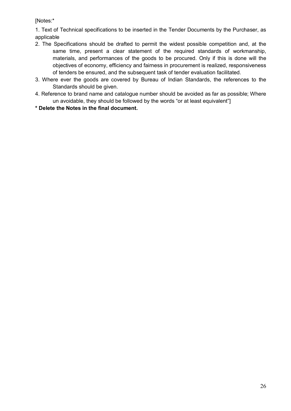[Notes:\*

1. Text of Technical specifications to be inserted in the Tender Documents by the Purchaser, as applicable

- 2. The Specifications should be drafted to permit the widest possible competition and, at the same time, present a clear statement of the required standards of workmanship, materials, and performances of the goods to be procured. Only if this is done will the objectives of economy, efficiency and fairness in procurement is realized, responsiveness of tenders be ensured, and the subsequent task of tender evaluation facilitated.
- 3. Where ever the goods are covered by Bureau of Indian Standards, the references to the Standards should be given.
- 4. Reference to brand name and catalogue number should be avoided as far as possible; Where un avoidable, they should be followed by the words "or at least equivalent"]
- **\* Delete the Notes in the final document.**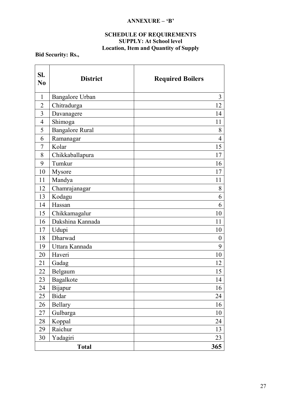## **ANNEXURE – 'B'**

#### **SCHEDULE OF REQUIREMENTS SUPPLY: At School level Location, Item and Quantity of Supply**

**Bid Security: Rs.,** 

| SI.<br>N <sub>0</sub> | <b>District</b>        | <b>Required Boilers</b> |
|-----------------------|------------------------|-------------------------|
| $\mathbf{1}$          | Bangalore Urban        | 3                       |
| $\overline{2}$        | Chitradurga            | 12                      |
| 3                     | Davanagere             | 14                      |
| $\overline{4}$        | Shimoga                | 11                      |
| 5                     | <b>Bangalore Rural</b> | 8                       |
| 6                     | Ramanagar              | $\overline{4}$          |
| 7                     | Kolar                  | 15                      |
| 8                     | Chikkaballapura        | 17                      |
| 9                     | Tumkur                 | 16                      |
| 10                    | Mysore                 | 17                      |
| 11                    | Mandya                 | 11                      |
| 12                    | Chamrajanagar          | 8                       |
| 13                    | Kodagu                 | 6                       |
| 14                    | Hassan                 | 6                       |
| 15                    | Chikkamagalur          | 10                      |
| 16                    | Dakshina Kannada       | 11                      |
| 17                    | Udupi                  | 10                      |
| 18                    | Dharwad                | $\boldsymbol{0}$        |
| 19                    | Uttara Kannada         | 9                       |
| 20                    | Haveri                 | 10                      |
| 21                    | Gadag                  | 12                      |
| 22                    | Belgaum                | 15                      |
| 23                    | Bagalkote              | 14                      |
| 24                    | Bijapur                | 16                      |
| 25                    | <b>Bidar</b>           | 24                      |
| 26                    | <b>Bellary</b>         | 16                      |
| 27                    | Gulbarga               | 10                      |
| 28                    | Koppal                 | 24                      |
| 29                    | Raichur                | 13                      |
| 30                    | Yadagiri               | 23                      |
|                       | <b>Total</b>           | 365                     |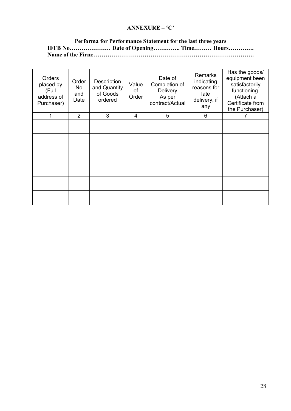## **ANNEXURE – 'C'**

#### **Performa for Performance Statement for the last three years IFFB No………………… Date of Opening………….. Time……… Hours…………. Name of the Firm:……………………………………………………………………….**

| Orders<br>placed by<br>(Full<br>address of<br>Purchaser) | Order<br><b>No</b><br>and<br>Date | Description<br>and Quantity<br>of Goods<br>ordered | Value<br>of<br>Order | Date of<br>Completion of<br>Delivery<br>As per<br>contract/Actual | <b>Remarks</b><br>indicating<br>reasons for<br>late<br>delivery, if<br>any | Has the goods/<br>equipment been<br>satisfactorily<br>functioning.<br>(Attach a<br>Certificate from<br>the Purchaser) |
|----------------------------------------------------------|-----------------------------------|----------------------------------------------------|----------------------|-------------------------------------------------------------------|----------------------------------------------------------------------------|-----------------------------------------------------------------------------------------------------------------------|
|                                                          | 2                                 | 3                                                  | 4                    | 5                                                                 | 6                                                                          |                                                                                                                       |
|                                                          |                                   |                                                    |                      |                                                                   |                                                                            |                                                                                                                       |
|                                                          |                                   |                                                    |                      |                                                                   |                                                                            |                                                                                                                       |
|                                                          |                                   |                                                    |                      |                                                                   |                                                                            |                                                                                                                       |
|                                                          |                                   |                                                    |                      |                                                                   |                                                                            |                                                                                                                       |
|                                                          |                                   |                                                    |                      |                                                                   |                                                                            |                                                                                                                       |
|                                                          |                                   |                                                    |                      |                                                                   |                                                                            |                                                                                                                       |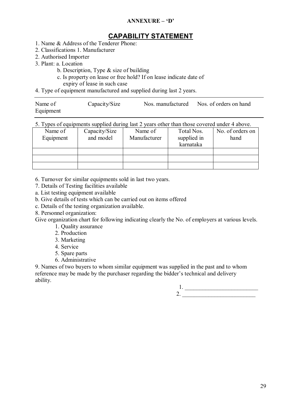## **ANNEXURE – 'D'**

## **CAPABILITY STATEMENT**

- 1. Name & Address of the Tenderer Phone:
- 2. Classifications 1. Manufacturer
- 2. Authorised Importer
- 3. Plant: a. Location
	- b. Description, Type & size of building
	- c. Is property on lease or free hold? If on lease indicate date of expiry of lease in such case
- 4. Type of equipment manufactured and supplied during last 2 years.

| Name of   | Capacity/Size | Nos. manufactured | Nos. of orders on hand |
|-----------|---------------|-------------------|------------------------|
| Equipment |               |                   |                        |

| 5. Types of equipments supplied during last 2 years other than those covered under 4 above. |
|---------------------------------------------------------------------------------------------|
|---------------------------------------------------------------------------------------------|

| Name of   | Capacity/Size | Name of      | Total Nos.  | No. of orders on |
|-----------|---------------|--------------|-------------|------------------|
| Equipment | and model     | Manufacturer | supplied in | hand             |
|           |               |              | karnataka   |                  |
|           |               |              |             |                  |
|           |               |              |             |                  |
|           |               |              |             |                  |

6. Turnover for similar equipments sold in last two years.

- 7. Details of Testing facilities available
- a. List testing equipment available
- b. Give details of tests which can be carried out on items offered
- c. Details of the testing organization available.

8. Personnel organization:

Give organization chart for following indicating clearly the No. of employers at various levels.

- 1. Quality assurance
- 2. Production
- 3. Marketing
- 4. Service
- 5. Spare parts
- 6. Administrative

9. Names of two buyers to whom similar equipment was supplied in the past and to whom reference may be made by the purchaser regarding the bidder's technical and delivery ability.

 $1.$   $\rule{0.2cm}{0.2cm} \rule{0.2cm}{0.2cm} \rule{0.2cm}{0.2cm} \rule{0.2cm}{0.2cm} 2.$   $\overline{\phantom{a}}$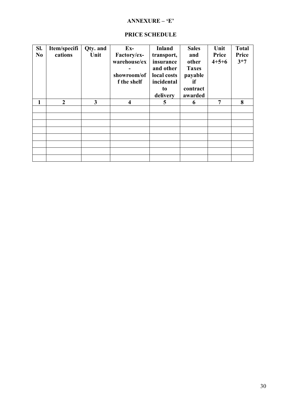### **ANNEXURE – 'E'**

| Sl.<br>N <sub>0</sub> | Item/specifi<br>cations | Qty. and<br>Unit | $Ex-$<br>Factory/ex-<br>warehouse/ex<br>showroom/of<br>f the shelf | <b>Inland</b><br>transport,<br>insurance<br>and other<br>local costs<br>incidental<br>to<br>delivery | <b>Sales</b><br>and<br>other<br><b>Taxes</b><br>payable<br>if<br>contract<br>awarded | Unit<br>Price<br>$4 + 5 + 6$ | <b>Total</b><br>Price<br>$3*7$ |
|-----------------------|-------------------------|------------------|--------------------------------------------------------------------|------------------------------------------------------------------------------------------------------|--------------------------------------------------------------------------------------|------------------------------|--------------------------------|
|                       | $\overline{2}$          | 3                | $\overline{\bf{4}}$                                                | 5                                                                                                    | 6                                                                                    | 7                            | 8                              |
|                       |                         |                  |                                                                    |                                                                                                      |                                                                                      |                              |                                |
|                       |                         |                  |                                                                    |                                                                                                      |                                                                                      |                              |                                |
|                       |                         |                  |                                                                    |                                                                                                      |                                                                                      |                              |                                |
|                       |                         |                  |                                                                    |                                                                                                      |                                                                                      |                              |                                |
|                       |                         |                  |                                                                    |                                                                                                      |                                                                                      |                              |                                |
|                       |                         |                  |                                                                    |                                                                                                      |                                                                                      |                              |                                |
|                       |                         |                  |                                                                    |                                                                                                      |                                                                                      |                              |                                |
|                       |                         |                  |                                                                    |                                                                                                      |                                                                                      |                              |                                |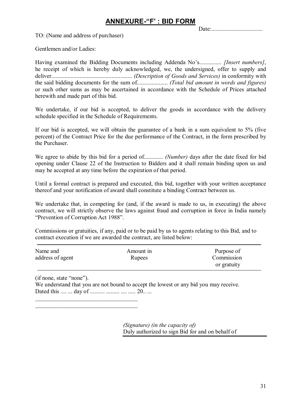Date:...................................

TO: (Name and address of purchaser)

Gentlemen and/or Ladies:

Having examined the Bidding Documents including Addenda No's............... *[Insert numbers]*, he receipt of which is hereby duly acknowledged, we, the undersigned, offer to supply and deliver....................................................... *(Description of Goods and Services)* in conformity with the said bidding documents for the sum of..................... *(Total bid amount in words and figures)*  or such other sums as may be ascertained in accordance with the Schedule of Prices attached herewith and made part of this bid.

We undertake, if our bid is accepted, to deliver the goods in accordance with the delivery schedule specified in the Schedule of Requirements.

If our bid is accepted, we will obtain the guarantee of a bank in a sum equivalent to 5% (five percent) of the Contract Price for the due performance of the Contract, in the form prescribed by the Purchaser.

We agree to abide by this bid for a period of............. *(Number)* days after the date fixed for bid opening under Clause 22 of the Instruction to Bidders and it shall remain binding upon us and may be accepted at any time before the expiration of that period.

Until a formal contract is prepared and executed, this bid, together with your written acceptance thereof and your notification of award shall constitute a binding Contract between us.

We undertake that, in competing for (and, if the award is made to us, in executing) the above contract, we will strictly observe the laws against fraud and corruption in force in India namely "Prevention of Corruption Act 1988".

Commissions or gratuities, if any, paid or to be paid by us to agents relating to this Bid, and to contract execution if we are awarded the contract, are listed below:

| Name and         | Amount in     | Purpose of  |
|------------------|---------------|-------------|
| address of agent | <b>Rupees</b> | Commission  |
|                  |               | or gratuity |

(if none, state "none"). We understand that you are not bound to accept the lowest or any bid you may receive. Dated this .... ... day of .......... ......... .... ..... 20.. ...

\_\_\_\_\_\_\_\_\_\_\_\_\_\_\_\_\_\_\_\_\_\_\_\_\_\_\_\_\_\_\_\_\_\_\_ \_\_\_\_\_\_\_\_\_\_\_\_\_\_\_\_\_\_\_\_\_\_\_\_\_\_\_\_\_\_\_\_\_\_\_

> *(Signature) (in the capacity of)*  Duly authorized to sign Bid for and on behalf of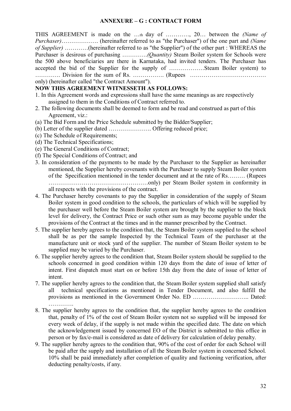#### **ANNEXURE – G : CONTRACT FORM**

THIS AGREEMENT is made on the …th day of …………, 20… between the *(Name of Purchaser)*………………. (hereinafter referred to as "the Purchaser") of the one part and *(Name of Supplier)* …………(hereinafter referred to as "the Supplier") of the other part : WHEREAS the Purchaser is desirous of purchasing ………….*(Quantity)* Steam Boiler system for Schools were the 500 above beneficiaries are there in Karnataka, had invited tenders. The Purchaser has accepted the bid of the Supplier for the supply of ………………Steam Boiler system) to …………. Division for the sum of Rs. ……………. (Rupees …………………………………

only) (hereinafter called "the Contract Amount").

#### **NOW THIS AGREEMENT WITNESSETH AS FOLLOWS:**

- 1. In this Agreement words and expressions shall have the same meanings as are respectively assigned to them in the Conditions of Contract referred to.
- 2. The following documents shall be deemed to form and be read and construed as part of this Agreement, viz.:
- (a) The Bid Form and the Price Schedule submitted by the Bidder/Supplier;
- (b) Letter of the supplier dated …………………. Offering reduced price;
- (c) The Schedule of Requirements;
- (d) The Technical Specifications;
- (e) The General Conditions of Contract;
- (f) The Special Conditions of Contract; and
- 3. In consideration of the payments to be made by the Purchaser to the Supplier as hereinafter mentioned, the Supplier hereby covenants with the Purchaser to supply Steam Boiler system of the Specification mentioned in the tender document and at the rate of Rs……… (Rupees ……………………………………………only) per Steam Boiler system in conformity in all respects with the provisions of the contract.
- 4. The Purchaser hereby covenants to pay the Supplier in consideration of the supply of Steam Boiler system in good condition to the schools, the particulars of which will be supplied by the purchaser well before the Steam Boiler system are brought by the supplier to the block level for delivery, the Contract Price or such other sum as may become payable under the
- provisions of the Contract at the times and in the manner prescribed by the Contract.
- 5. The supplier hereby agrees to the condition that, the Steam Boiler system supplied to the school shall be as per the sample Inspected by the Technical Team of the purchaser at the manufacture unit or stock yard of the supplier. The number of Steam Boiler system to be supplied may be varied by the Purchaser.
- 6. The supplier hereby agrees to the condition that, Steam Boiler system should be supplied to the schools concerned in good condition within 120 days from the date of issue of letter of intent. First dispatch must start on or before 15th day from the date of issue of letter of intent.
- 7. The supplier hereby agrees to the condition that, the Steam Boiler system supplied shall satisfy all technical specifications as mentioned in Tender Document, and also fulfill the provisions as mentioned in the Government Order No. ED ……………………….. Dated: ………….
- 8. The supplier hereby agrees to the condition that, the supplier hereby agrees to the condition that, penalty of 1% of the cost of Steam Boiler system not so supplied will be imposed for every week of delay, if the supply is not made within the specified date. The date on which the acknowledgement issued by concerned EO of the District is submitted to this office in person or by fax/e-mail is considered as date of delivery for calculation of delay penalty.
- 9. The supplier hereby agrees to the condition that, 90% of the cost of order for each School will be paid after the supply and installation of all the Steam Boiler system in concerned School. 10% shall be paid immediately after completion of quality and fuctioning verification, after deducting penalty/costs, if any.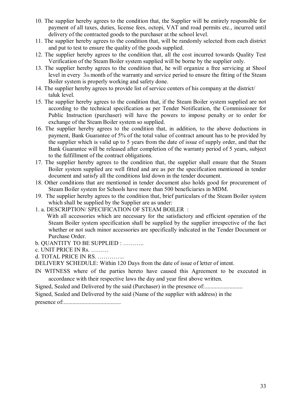- 10. The supplier hereby agrees to the condition that, the Supplier will be entirely responsible for payment of all taxes, duties, license fees, octopi, VAT and road permits etc., incurred until delivery of the contracted goods to the purchaser at the school level.
- 11. The supplier hereby agrees to the condition that, will be randomly selected from each district and put to test to ensure the quality of the goods supplied.
- 12. The supplier hereby agrees to the condition that, all the cost incurred towards Quality Test Verification of the Steam Boiler system supplied will be borne by the supplier only.
- 13. The supplier hereby agrees to the condition that, he will organize a free servicing at Shool level in every 3th month of the warranty and service period to ensure the fitting of the Steam Boiler system is properly working and safety done.
- 14. The supplier hereby agrees to provide list of service centers of his company at the district/ taluk level.
- 15. The supplier hereby agrees to the condition that, if the Steam Boiler system supplied are not according to the technical specification as per Tender Notification, the Commissioner for Public Instruction (purchaser) will have the powers to impose penalty or to order for exchange of the Steam Boiler system so supplied.
- 16. The supplier hereby agrees to the condition that, in addition, to the above deductions in payment, Bank Guarantee of 5% of the total value of contract amount has to be provided by the supplier which is valid up to 5 years from the date of issue of supply order, and that the Bank Guarantee will be released after completion of the warranty period of 5 years, subject to the fulfillment of the contract obligations.
- 17. The supplier hereby agrees to the condition that, the supplier shall ensure that the Steam Boiler system supplied are well fitted and are as per the specification mentioned in tender document and satisfy all the conditions laid down in the tender document.
- 18. Other conditions that are mentioned in tender document also holds good for procurement of Steam Boiler system for Schools have more than 500 beneficiaries in MDM.
- 19. The supplier hereby agrees to the condition that, brief particulars of the Steam Boiler system which shall be supplied by the Supplier are as under:
- 1. a. DESCRIPTION/ SPECIFICATION OF STEAM BOILER :
	- With all accessories which are necessary for the satisfactory and efficient operation of the Steam Boiler system specification shall be supplied by the supplier irrespective of the fact whether or not such minor accessories are specifically indicated in the Tender Document or Purchase Order.
- b. QUANTITY TO BE SUPPLIED : ………..
- c. UNIT PRICE IN Rs. ………
- d. TOTAL PRICE IN RS. …………..
- DELIVERY SCHEDULE: Within 120 Days from the date of issue of letter of intent.
- IN WITNESS where of the parties hereto have caused this Agreement to be executed in accordance with their respective laws the day and year first above written.
- Signed, Sealed and Delivered by the said (Purchaser) in the presence of:...........................
- Signed, Sealed and Delivered by the said (Name of the supplier with address) in the

presence of:.......................................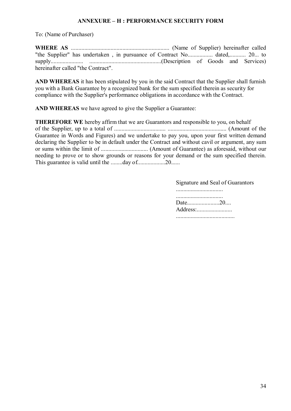#### **ANNEXURE – H : PERFORMANCE SECURITY FORM**

To: (Name of Purchaser)

**WHERE AS** ................................................................... (Name of Supplier) hereinafter called "the Supplier" has undertaken , in pursuance of Contract No................. dated,........... 20... to supply...................... .................................................(Description of Goods and Services) hereinafter called "the Contract".

**AND WHEREAS** it has been stipulated by you in the said Contract that the Supplier shall furnish you with a Bank Guarantee by a recognized bank for the sum specified therein as security for compliance with the Supplier's performance obligations in accordance with the Contract.

**AND WHEREAS** we have agreed to give the Supplier a Guarantee:

**THEREFORE WE** hereby affirm that we are Guarantors and responsible to you, on behalf of the Supplier, up to a total of ................................... ........................................ (Amount of the Guarantee in Words and Figures) and we undertake to pay you, upon your first written demand declaring the Supplier to be in default under the Contract and without cavil or argument, any sum or sums within the limit of ................................ (Amount of Guarantee) as aforesaid, without our needing to prove or to show grounds or reasons for your demand or the sum specified therein. This guarantee is valid until the ........day of.........................20......

> Signature and Seal of Guarantors ................................ Date......................20.... Address:......................... ........................................